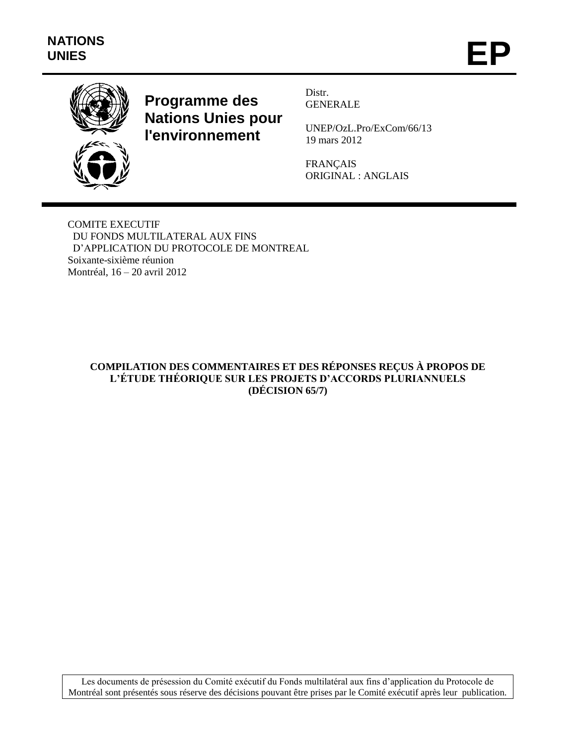

**Programme des Nations Unies pour l'environnement**

Distr. GENERALE

UNEP/OzL.Pro/ExCom/66/13 19 mars 2012

FRANÇAIS ORIGINAL : ANGLAIS

COMITE EXECUTIF DU FONDS MULTILATERAL AUX FINS D'APPLICATION DU PROTOCOLE DE MONTREAL Soixante-sixième réunion Montréal, 16 – 20 avril 2012

# **COMPILATION DES COMMENTAIRES ET DES RÉPONSES REÇUS À PROPOS DE L'ÉTUDE THÉORIQUE SUR LES PROJETS D'ACCORDS PLURIANNUELS (DÉCISION 65/7)**

Les documents de présession du Comité exécutif du Fonds multilatéral aux fins d'application du Protocole de Montréal sont présentés sous réserve des décisions pouvant être prises par le Comité exécutif après leur publication.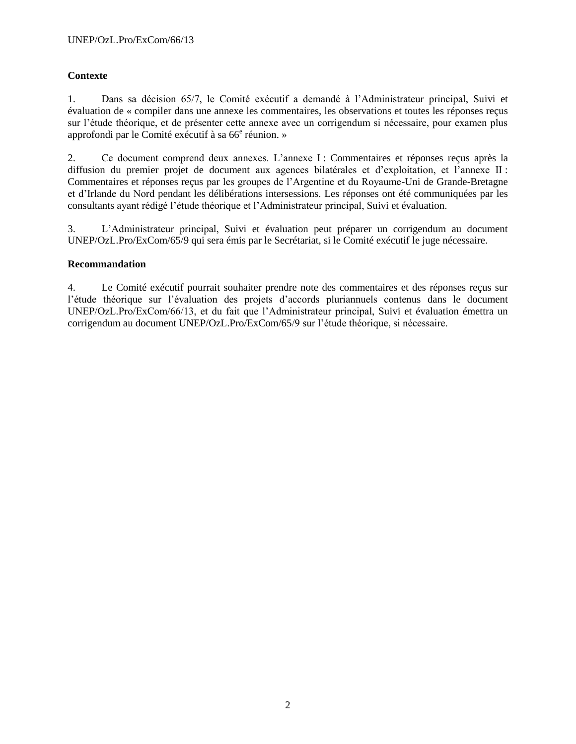# **Contexte**

1. Dans sa décision 65/7, le Comité exécutif a demandé à l'Administrateur principal, Suivi et évaluation de « compiler dans une annexe les commentaires, les observations et toutes les réponses reçus sur l'étude théorique, et de présenter cette annexe avec un corrigendum si nécessaire, pour examen plus approfondi par le Comité exécutif à sa 66<sup>e</sup> réunion. »

2. Ce document comprend deux annexes. L'annexe I : Commentaires et réponses reçus après la diffusion du premier projet de document aux agences bilatérales et d'exploitation, et l'annexe II : Commentaires et réponses reçus par les groupes de l'Argentine et du Royaume-Uni de Grande-Bretagne et d'Irlande du Nord pendant les délibérations intersessions. Les réponses ont été communiquées par les consultants ayant rédigé l'étude théorique et l'Administrateur principal, Suivi et évaluation.

3. L'Administrateur principal, Suivi et évaluation peut préparer un corrigendum au document UNEP/OzL.Pro/ExCom/65/9 qui sera émis par le Secrétariat, si le Comité exécutif le juge nécessaire.

#### **Recommandation**

4. Le Comité exécutif pourrait souhaiter prendre note des commentaires et des réponses reçus sur l'étude théorique sur l'évaluation des projets d'accords pluriannuels contenus dans le document UNEP/OzL.Pro/ExCom/66/13, et du fait que l'Administrateur principal, Suivi et évaluation émettra un corrigendum au document UNEP/OzL.Pro/ExCom/65/9 sur l'étude théorique, si nécessaire.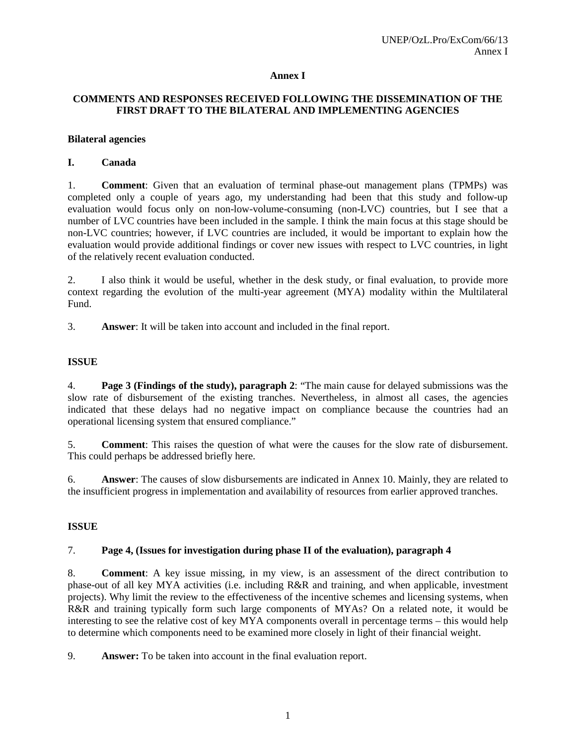### **Annex I**

# **COMMENTS AND RESPONSES RECEIVED FOLLOWING THE DISSEMINATION OF THE FIRST DRAFT TO THE BILATERAL AND IMPLEMENTING AGENCIES**

#### **Bilateral agencies**

### **I. Canada**

1. **Comment**: Given that an evaluation of terminal phase-out management plans (TPMPs) was completed only a couple of years ago, my understanding had been that this study and follow-up evaluation would focus only on non-low-volume-consuming (non-LVC) countries, but I see that a number of LVC countries have been included in the sample. I think the main focus at this stage should be non-LVC countries; however, if LVC countries are included, it would be important to explain how the evaluation would provide additional findings or cover new issues with respect to LVC countries, in light of the relatively recent evaluation conducted.

2. I also think it would be useful, whether in the desk study, or final evaluation, to provide more context regarding the evolution of the multi-year agreement (MYA) modality within the Multilateral Fund.

3. **Answer**: It will be taken into account and included in the final report.

### **ISSUE**

4. **Page 3 (Findings of the study), paragraph 2**: "The main cause for delayed submissions was the slow rate of disbursement of the existing tranches. Nevertheless, in almost all cases, the agencies indicated that these delays had no negative impact on compliance because the countries had an operational licensing system that ensured compliance."

5. **Comment**: This raises the question of what were the causes for the slow rate of disbursement. This could perhaps be addressed briefly here.

6. **Answer**: The causes of slow disbursements are indicated in Annex 10. Mainly, they are related to the insufficient progress in implementation and availability of resources from earlier approved tranches.

# **ISSUE**

#### 7. **Page 4, (Issues for investigation during phase II of the evaluation), paragraph 4**

8. **Comment**: A key issue missing, in my view, is an assessment of the direct contribution to phase-out of all key MYA activities (i.e. including R&R and training, and when applicable, investment projects). Why limit the review to the effectiveness of the incentive schemes and licensing systems, when R&R and training typically form such large components of MYAs? On a related note, it would be interesting to see the relative cost of key MYA components overall in percentage terms – this would help to determine which components need to be examined more closely in light of their financial weight.

9. **Answer:** To be taken into account in the final evaluation report.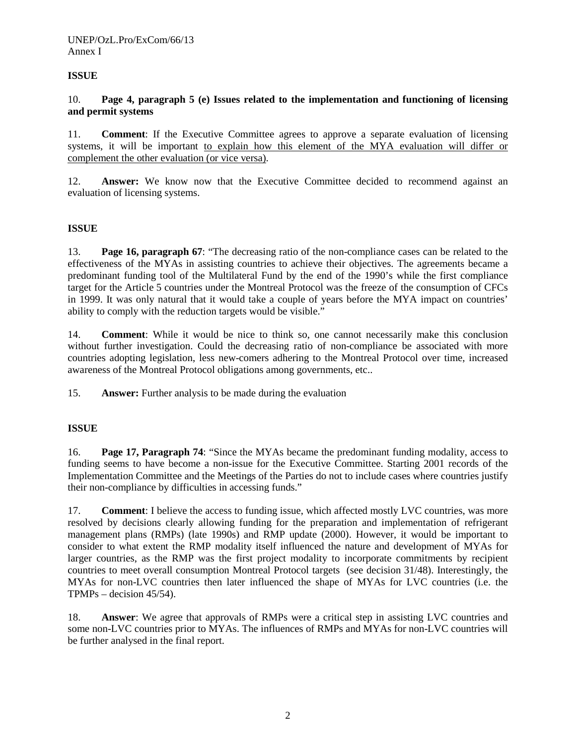# **ISSUE**

#### 10. **Page 4, paragraph 5 (e) Issues related to the implementation and functioning of licensing and permit systems**

11. **Comment**: If the Executive Committee agrees to approve a separate evaluation of licensing systems, it will be important to explain how this element of the MYA evaluation will differ or complement the other evaluation (or vice versa).

12. **Answer:** We know now that the Executive Committee decided to recommend against an evaluation of licensing systems.

#### **ISSUE**

13. **Page 16, paragraph 67**: "The decreasing ratio of the non-compliance cases can be related to the effectiveness of the MYAs in assisting countries to achieve their objectives. The agreements became a predominant funding tool of the Multilateral Fund by the end of the 1990's while the first compliance target for the Article 5 countries under the Montreal Protocol was the freeze of the consumption of CFCs in 1999. It was only natural that it would take a couple of years before the MYA impact on countries' ability to comply with the reduction targets would be visible."

14. **Comment**: While it would be nice to think so, one cannot necessarily make this conclusion without further investigation. Could the decreasing ratio of non-compliance be associated with more countries adopting legislation, less new-comers adhering to the Montreal Protocol over time, increased awareness of the Montreal Protocol obligations among governments, etc..

15. **Answer:** Further analysis to be made during the evaluation

#### **ISSUE**

16. **Page 17, Paragraph 74**: "Since the MYAs became the predominant funding modality, access to funding seems to have become a non-issue for the Executive Committee. Starting 2001 records of the Implementation Committee and the Meetings of the Parties do not to include cases where countries justify their non-compliance by difficulties in accessing funds."

17. **Comment**: I believe the access to funding issue, which affected mostly LVC countries, was more resolved by decisions clearly allowing funding for the preparation and implementation of refrigerant management plans (RMPs) (late 1990s) and RMP update (2000). However, it would be important to consider to what extent the RMP modality itself influenced the nature and development of MYAs for larger countries, as the RMP was the first project modality to incorporate commitments by recipient countries to meet overall consumption Montreal Protocol targets (see decision 31/48). Interestingly, the MYAs for non-LVC countries then later influenced the shape of MYAs for LVC countries (i.e. the TPMPs – decision 45/54).

18. **Answer**: We agree that approvals of RMPs were a critical step in assisting LVC countries and some non-LVC countries prior to MYAs. The influences of RMPs and MYAs for non-LVC countries will be further analysed in the final report.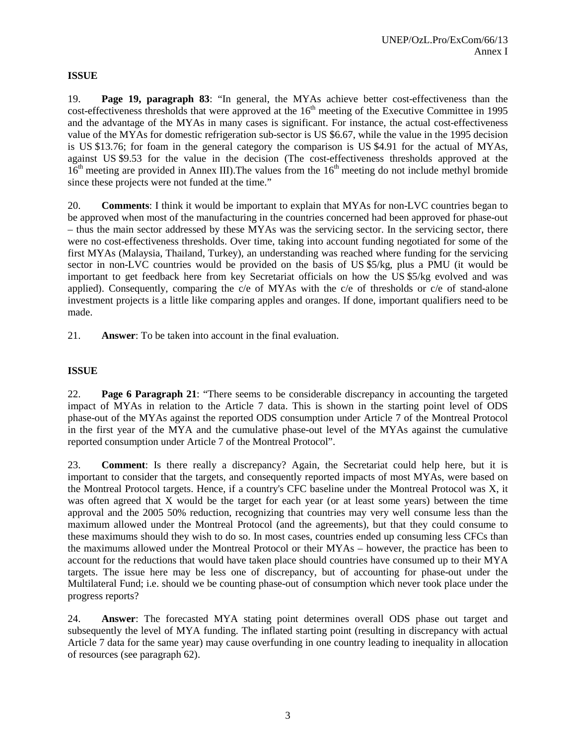# **ISSUE**

19. **Page 19, paragraph 83**: "In general, the MYAs achieve better cost-effectiveness than the  $cost$ -effectiveness thresholds that were approved at the  $16<sup>th</sup>$  meeting of the Executive Committee in 1995 and the advantage of the MYAs in many cases is significant. For instance, the actual cost-effectiveness value of the MYAs for domestic refrigeration sub-sector is US \$6.67, while the value in the 1995 decision is US \$13.76; for foam in the general category the comparison is US \$4.91 for the actual of MYAs, against US \$9.53 for the value in the decision (The cost-effectiveness thresholds approved at the  $16<sup>th</sup>$  meeting are provided in Annex III). The values from the  $16<sup>th</sup>$  meeting do not include methyl bromide since these projects were not funded at the time."

20. **Comments**: I think it would be important to explain that MYAs for non-LVC countries began to be approved when most of the manufacturing in the countries concerned had been approved for phase-out – thus the main sector addressed by these MYAs was the servicing sector. In the servicing sector, there were no cost-effectiveness thresholds. Over time, taking into account funding negotiated for some of the first MYAs (Malaysia, Thailand, Turkey), an understanding was reached where funding for the servicing sector in non-LVC countries would be provided on the basis of US \$5/kg, plus a PMU (it would be important to get feedback here from key Secretariat officials on how the US \$5/kg evolved and was applied). Consequently, comparing the c/e of MYAs with the c/e of thresholds or c/e of stand-alone investment projects is a little like comparing apples and oranges. If done, important qualifiers need to be made.

21. **Answer**: To be taken into account in the final evaluation.

# **ISSUE**

22. **Page 6 Paragraph 21**: "There seems to be considerable discrepancy in accounting the targeted impact of MYAs in relation to the Article 7 data. This is shown in the starting point level of ODS phase-out of the MYAs against the reported ODS consumption under Article 7 of the Montreal Protocol in the first year of the MYA and the cumulative phase-out level of the MYAs against the cumulative reported consumption under Article 7 of the Montreal Protocol".

23. **Comment**: Is there really a discrepancy? Again, the Secretariat could help here, but it is important to consider that the targets, and consequently reported impacts of most MYAs, were based on the Montreal Protocol targets. Hence, if a country's CFC baseline under the Montreal Protocol was X, it was often agreed that X would be the target for each year (or at least some years) between the time approval and the 2005 50% reduction, recognizing that countries may very well consume less than the maximum allowed under the Montreal Protocol (and the agreements), but that they could consume to these maximums should they wish to do so. In most cases, countries ended up consuming less CFCs than the maximums allowed under the Montreal Protocol or their MYAs – however, the practice has been to account for the reductions that would have taken place should countries have consumed up to their MYA targets. The issue here may be less one of discrepancy, but of accounting for phase-out under the Multilateral Fund; i.e. should we be counting phase-out of consumption which never took place under the progress reports?

24. **Answer**: The forecasted MYA stating point determines overall ODS phase out target and subsequently the level of MYA funding. The inflated starting point (resulting in discrepancy with actual Article 7 data for the same year) may cause overfunding in one country leading to inequality in allocation of resources (see paragraph 62).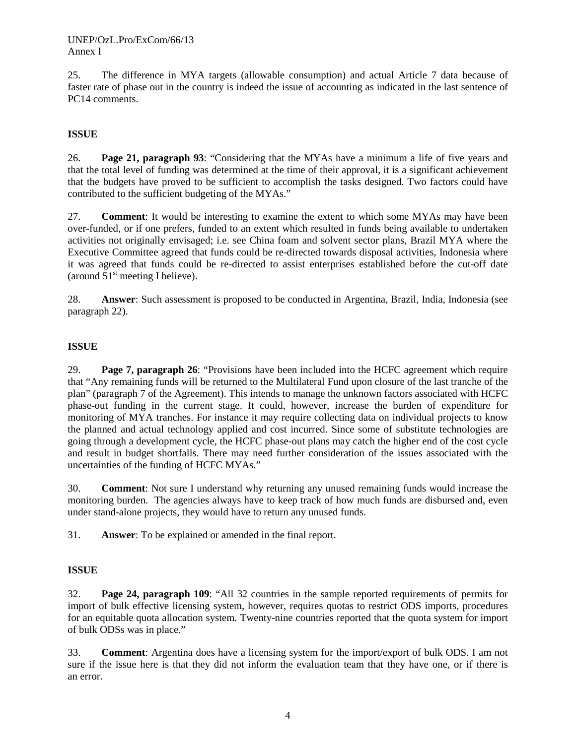25. The difference in MYA targets (allowable consumption) and actual Article 7 data because of faster rate of phase out in the country is indeed the issue of accounting as indicated in the last sentence of PC14 comments.

# **ISSUE**

26. **Page 21, paragraph 93**: "Considering that the MYAs have a minimum a life of five years and that the total level of funding was determined at the time of their approval, it is a significant achievement that the budgets have proved to be sufficient to accomplish the tasks designed. Two factors could have contributed to the sufficient budgeting of the MYAs."

27. **Comment**: It would be interesting to examine the extent to which some MYAs may have been over-funded, or if one prefers, funded to an extent which resulted in funds being available to undertaken activities not originally envisaged; i.e. see China foam and solvent sector plans, Brazil MYA where the Executive Committee agreed that funds could be re-directed towards disposal activities, Indonesia where it was agreed that funds could be re-directed to assist enterprises established before the cut-off date (around  $51<sup>st</sup>$  meeting I believe).

28. **Answer**: Such assessment is proposed to be conducted in Argentina, Brazil, India, Indonesia (see paragraph 22).

# **ISSUE**

29. **Page 7, paragraph 26**: "Provisions have been included into the HCFC agreement which require that "Any remaining funds will be returned to the Multilateral Fund upon closure of the last tranche of the plan" (paragraph 7 of the Agreement). This intends to manage the unknown factors associated with HCFC phase-out funding in the current stage. It could, however, increase the burden of expenditure for monitoring of MYA tranches. For instance it may require collecting data on individual projects to know the planned and actual technology applied and cost incurred. Since some of substitute technologies are going through a development cycle, the HCFC phase-out plans may catch the higher end of the cost cycle and result in budget shortfalls. There may need further consideration of the issues associated with the uncertainties of the funding of HCFC MYAs."

30. **Comment**: Not sure I understand why returning any unused remaining funds would increase the monitoring burden. The agencies always have to keep track of how much funds are disbursed and, even under stand-alone projects, they would have to return any unused funds.

31. **Answer**: To be explained or amended in the final report.

#### **ISSUE**

32. **Page 24, paragraph 109**: "All 32 countries in the sample reported requirements of permits for import of bulk effective licensing system, however, requires quotas to restrict ODS imports, procedures for an equitable quota allocation system. Twenty-nine countries reported that the quota system for import of bulk ODSs was in place."

33. **Comment**: Argentina does have a licensing system for the import/export of bulk ODS. I am not sure if the issue here is that they did not inform the evaluation team that they have one, or if there is an error.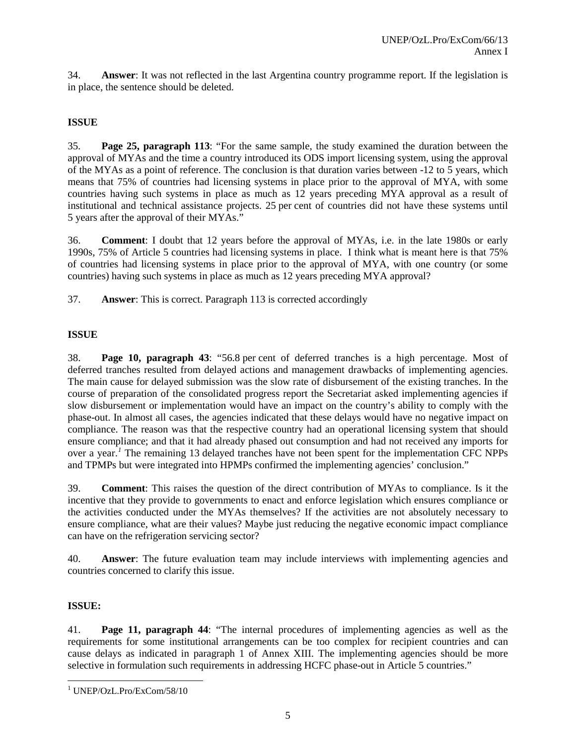34. **Answer**: It was not reflected in the last Argentina country programme report. If the legislation is in place, the sentence should be deleted.

# **ISSUE**

35. **Page 25, paragraph 113**: "For the same sample, the study examined the duration between the approval of MYAs and the time a country introduced its ODS import licensing system, using the approval of the MYAs as a point of reference. The conclusion is that duration varies between -12 to 5 years, which means that 75% of countries had licensing systems in place prior to the approval of MYA, with some countries having such systems in place as much as 12 years preceding MYA approval as a result of institutional and technical assistance projects. 25 per cent of countries did not have these systems until 5 years after the approval of their MYAs."

36. **Comment**: I doubt that 12 years before the approval of MYAs, i.e. in the late 1980s or early 1990s, 75% of Article 5 countries had licensing systems in place. I think what is meant here is that 75% of countries had licensing systems in place prior to the approval of MYA, with one country (or some countries) having such systems in place as much as 12 years preceding MYA approval?

37. **Answer**: This is correct. Paragraph 113 is corrected accordingly

### **ISSUE**

38. **Page 10, paragraph 43**: "56.8 per cent of deferred tranches is a high percentage. Most of deferred tranches resulted from delayed actions and management drawbacks of implementing agencies. The main cause for delayed submission was the slow rate of disbursement of the existing tranches. In the course of preparation of the consolidated progress report the Secretariat asked implementing agencies if slow disbursement or implementation would have an impact on the country's ability to comply with the phase-out. In almost all cases, the agencies indicated that these delays would have no negative impact on compliance. The reason was that the respective country had an operational licensing system that should ensure compliance; and that it had already phased out consumption and had not received any imports for over a year.<sup>[1](#page-6-0)</sup> The remaining 13 delayed tranches have not been spent for the implementation CFC NPPs and TPMPs but were integrated into HPMPs confirmed the implementing agencies' conclusion."

39. **Comment**: This raises the question of the direct contribution of MYAs to compliance. Is it the incentive that they provide to governments to enact and enforce legislation which ensures compliance or the activities conducted under the MYAs themselves? If the activities are not absolutely necessary to ensure compliance, what are their values? Maybe just reducing the negative economic impact compliance can have on the refrigeration servicing sector?

40. **Answer**: The future evaluation team may include interviews with implementing agencies and countries concerned to clarify this issue.

# **ISSUE:**

41. **Page 11, paragraph 44**: "The internal procedures of implementing agencies as well as the requirements for some institutional arrangements can be too complex for recipient countries and can cause delays as indicated in paragraph 1 of Annex XIII. The implementing agencies should be more selective in formulation such requirements in addressing HCFC phase-out in Article 5 countries."

<span id="page-6-0"></span> <sup>1</sup> UNEP/OzL.Pro/ExCom/58/10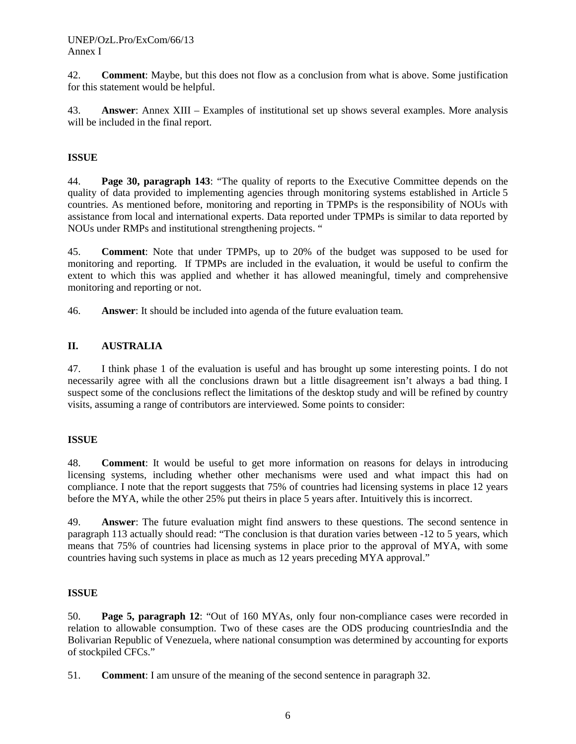42. **Comment**: Maybe, but this does not flow as a conclusion from what is above. Some justification for this statement would be helpful.

43. **Answer**: Annex XIII – Examples of institutional set up shows several examples. More analysis will be included in the final report.

# **ISSUE**

44. **Page 30, paragraph 143**: "The quality of reports to the Executive Committee depends on the quality of data provided to implementing agencies through monitoring systems established in Article 5 countries. As mentioned before, monitoring and reporting in TPMPs is the responsibility of NOUs with assistance from local and international experts. Data reported under TPMPs is similar to data reported by NOUs under RMPs and institutional strengthening projects. "

45. **Comment**: Note that under TPMPs, up to 20% of the budget was supposed to be used for monitoring and reporting. If TPMPs are included in the evaluation, it would be useful to confirm the extent to which this was applied and whether it has allowed meaningful, timely and comprehensive monitoring and reporting or not.

46. **Answer**: It should be included into agenda of the future evaluation team.

# **II. AUSTRALIA**

47. I think phase 1 of the evaluation is useful and has brought up some interesting points. I do not necessarily agree with all the conclusions drawn but a little disagreement isn't always a bad thing. I suspect some of the conclusions reflect the limitations of the desktop study and will be refined by country visits, assuming a range of contributors are interviewed. Some points to consider:

#### **ISSUE**

48. **Comment**: It would be useful to get more information on reasons for delays in introducing licensing systems, including whether other mechanisms were used and what impact this had on compliance. I note that the report suggests that 75% of countries had licensing systems in place 12 years before the MYA, while the other 25% put theirs in place 5 years after. Intuitively this is incorrect.

49. **Answer**: The future evaluation might find answers to these questions. The second sentence in paragraph 113 actually should read: "The conclusion is that duration varies between -12 to 5 years, which means that 75% of countries had licensing systems in place prior to the approval of MYA, with some countries having such systems in place as much as 12 years preceding MYA approval."

#### **ISSUE**

50. **Page 5, paragraph 12**: "Out of 160 MYAs, only four non-compliance cases were recorded in relation to allowable consumption. Two of these cases are the ODS producing countriesIndia and the Bolivarian Republic of Venezuela, where national consumption was determined by accounting for exports of stockpiled CFCs."

51. **Comment**: I am unsure of the meaning of the second sentence in paragraph 32.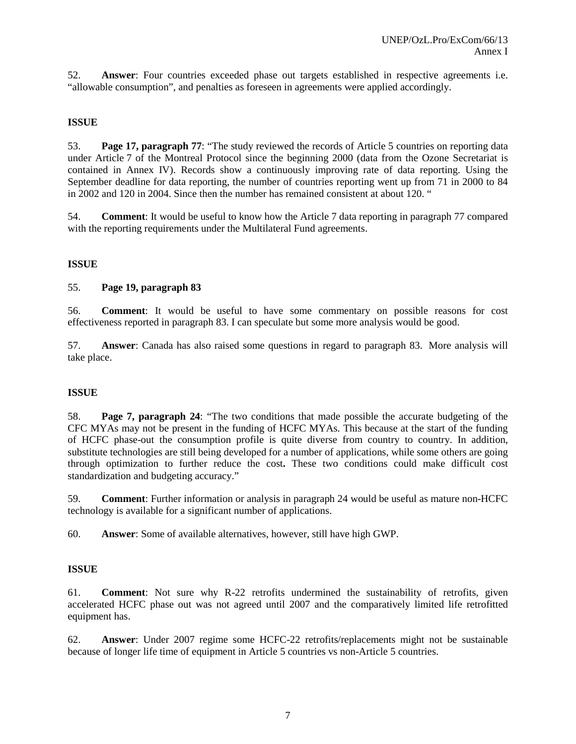52. **Answer**: Four countries exceeded phase out targets established in respective agreements i.e. "allowable consumption", and penalties as foreseen in agreements were applied accordingly.

### **ISSUE**

53. **Page 17, paragraph 77**: "The study reviewed the records of Article 5 countries on reporting data under Article 7 of the Montreal Protocol since the beginning 2000 (data from the Ozone Secretariat is contained in Annex IV). Records show a continuously improving rate of data reporting. Using the September deadline for data reporting, the number of countries reporting went up from 71 in 2000 to 84 in 2002 and 120 in 2004. Since then the number has remained consistent at about 120. "

54. **Comment**: It would be useful to know how the Article 7 data reporting in paragraph 77 compared with the reporting requirements under the Multilateral Fund agreements.

### **ISSUE**

#### 55. **Page 19, paragraph 83**

56. **Comment**: It would be useful to have some commentary on possible reasons for cost effectiveness reported in paragraph 83. I can speculate but some more analysis would be good.

57. **Answer**: Canada has also raised some questions in regard to paragraph 83. More analysis will take place.

#### **ISSUE**

58. **Page 7, paragraph 24**: "The two conditions that made possible the accurate budgeting of the CFC MYAs may not be present in the funding of HCFC MYAs. This because at the start of the funding of HCFC phase-out the consumption profile is quite diverse from country to country. In addition, substitute technologies are still being developed for a number of applications, while some others are going through optimization to further reduce the cost**.** These two conditions could make difficult cost standardization and budgeting accuracy."

59. **Comment**: Further information or analysis in paragraph 24 would be useful as mature non-HCFC technology is available for a significant number of applications.

60. **Answer**: Some of available alternatives, however, still have high GWP.

### **ISSUE**

61. **Comment**: Not sure why R-22 retrofits undermined the sustainability of retrofits, given accelerated HCFC phase out was not agreed until 2007 and the comparatively limited life retrofitted equipment has.

62. **Answer**: Under 2007 regime some HCFC-22 retrofits/replacements might not be sustainable because of longer life time of equipment in Article 5 countries vs non-Article 5 countries.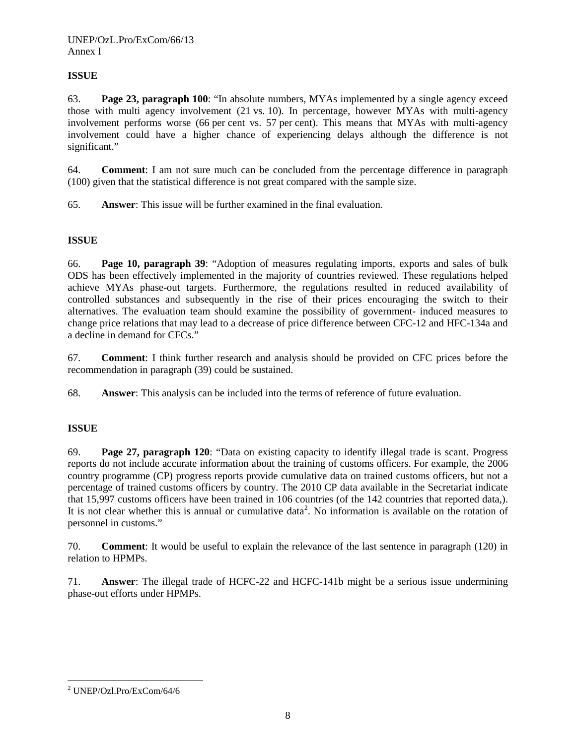# **ISSUE**

63. **Page 23, paragraph 100**: "In absolute numbers, MYAs implemented by a single agency exceed those with multi agency involvement (21 vs. 10). In percentage, however MYAs with multi-agency involvement performs worse (66 per cent vs. 57 per cent). This means that MYAs with multi-agency involvement could have a higher chance of experiencing delays although the difference is not significant."

64. **Comment**: I am not sure much can be concluded from the percentage difference in paragraph (100) given that the statistical difference is not great compared with the sample size.

65. **Answer**: This issue will be further examined in the final evaluation.

# **ISSUE**

66. **Page 10, paragraph 39**: "Adoption of measures regulating imports, exports and sales of bulk ODS has been effectively implemented in the majority of countries reviewed. These regulations helped achieve MYAs phase-out targets. Furthermore, the regulations resulted in reduced availability of controlled substances and subsequently in the rise of their prices encouraging the switch to their alternatives. The evaluation team should examine the possibility of government- induced measures to change price relations that may lead to a decrease of price difference between CFC-12 and HFC-134a and a decline in demand for CFCs."

67. **Comment**: I think further research and analysis should be provided on CFC prices before the recommendation in paragraph (39) could be sustained.

68. **Answer**: This analysis can be included into the terms of reference of future evaluation.

# **ISSUE**

69. **Page 27, paragraph 120**: "Data on existing capacity to identify illegal trade is scant. Progress reports do not include accurate information about the training of customs officers. For example, the 2006 country programme (CP) progress reports provide cumulative data on trained customs officers, but not a percentage of trained customs officers by country. The 2010 CP data available in the Secretariat indicate that 15,997 customs officers have been trained in 106 countries (of the 142 countries that reported data,). It is not clear whether this is annual or cumulative data<sup>[2](#page-9-0)</sup>. No information is available on the rotation of personnel in customs."

70. **Comment**: It would be useful to explain the relevance of the last sentence in paragraph (120) in relation to HPMPs.

71. **Answer**: The illegal trade of HCFC-22 and HCFC-141b might be a serious issue undermining phase-out efforts under HPMPs.

<span id="page-9-0"></span> <sup>2</sup> UNEP/Ozl.Pro/ExCom/64/6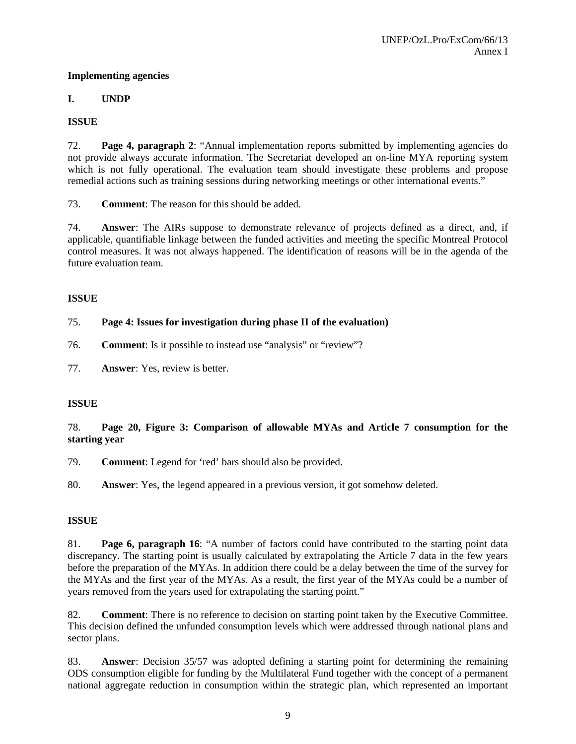### **Implementing agencies**

# **I. UNDP**

# **ISSUE**

72. **Page 4, paragraph 2**: "Annual implementation reports submitted by implementing agencies do not provide always accurate information. The Secretariat developed an on-line MYA reporting system which is not fully operational. The evaluation team should investigate these problems and propose remedial actions such as training sessions during networking meetings or other international events."

73. **Comment**: The reason for this should be added.

74. **Answer**: The AIRs suppose to demonstrate relevance of projects defined as a direct, and, if applicable, quantifiable linkage between the funded activities and meeting the specific Montreal Protocol control measures. It was not always happened. The identification of reasons will be in the agenda of the future evaluation team.

# **ISSUE**

# 75. **Page 4: Issues for investigation during phase II of the evaluation)**

- 76. **Comment**: Is it possible to instead use "analysis" or "review"?
- 77. **Answer**: Yes, review is better.

# **ISSUE**

# 78. **Page 20, Figure 3: Comparison of allowable MYAs and Article 7 consumption for the starting year**

79. **Comment**: Legend for 'red' bars should also be provided.

80. **Answer**: Yes, the legend appeared in a previous version, it got somehow deleted.

# **ISSUE**

81. **Page 6, paragraph 16**: "A number of factors could have contributed to the starting point data discrepancy. The starting point is usually calculated by extrapolating the Article 7 data in the few years before the preparation of the MYAs. In addition there could be a delay between the time of the survey for the MYAs and the first year of the MYAs. As a result, the first year of the MYAs could be a number of years removed from the years used for extrapolating the starting point."

82. **Comment**: There is no reference to decision on starting point taken by the Executive Committee. This decision defined the unfunded consumption levels which were addressed through national plans and sector plans.

83. **Answer**: Decision 35/57 was adopted defining a starting point for determining the remaining ODS consumption eligible for funding by the Multilateral Fund together with the concept of a permanent national aggregate reduction in consumption within the strategic plan, which represented an important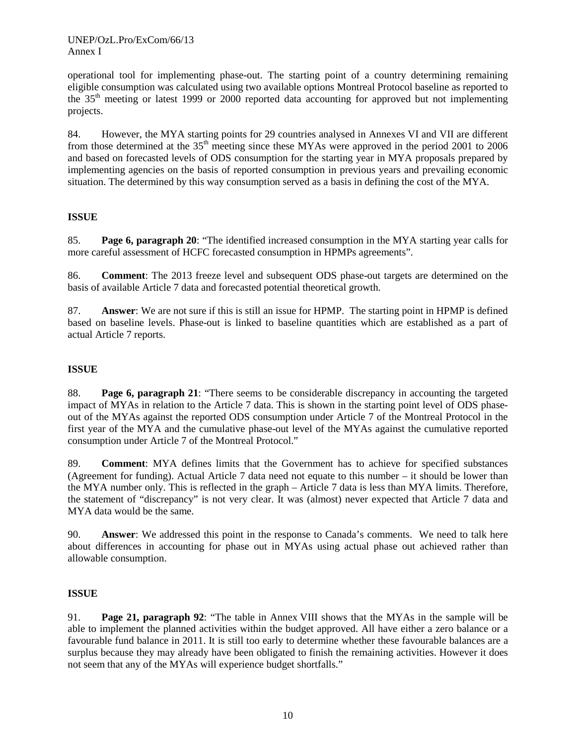operational tool for implementing phase-out. The starting point of a country determining remaining eligible consumption was calculated using two available options Montreal Protocol baseline as reported to the 35th meeting or latest 1999 or 2000 reported data accounting for approved but not implementing projects.

84. However, the MYA starting points for 29 countries analysed in Annexes VI and VII are different from those determined at the 35<sup>th</sup> meeting since these MYAs were approved in the period 2001 to 2006 and based on forecasted levels of ODS consumption for the starting year in MYA proposals prepared by implementing agencies on the basis of reported consumption in previous years and prevailing economic situation. The determined by this way consumption served as a basis in defining the cost of the MYA.

# **ISSUE**

85. **Page 6, paragraph 20**: "The identified increased consumption in the MYA starting year calls for more careful assessment of HCFC forecasted consumption in HPMPs agreements".

86. **Comment**: The 2013 freeze level and subsequent ODS phase-out targets are determined on the basis of available Article 7 data and forecasted potential theoretical growth.

87. **Answer**: We are not sure if this is still an issue for HPMP. The starting point in HPMP is defined based on baseline levels. Phase-out is linked to baseline quantities which are established as a part of actual Article 7 reports.

# **ISSUE**

88. **Page 6, paragraph 21**: "There seems to be considerable discrepancy in accounting the targeted impact of MYAs in relation to the Article 7 data. This is shown in the starting point level of ODS phaseout of the MYAs against the reported ODS consumption under Article 7 of the Montreal Protocol in the first year of the MYA and the cumulative phase-out level of the MYAs against the cumulative reported consumption under Article 7 of the Montreal Protocol."

89. **Comment**: MYA defines limits that the Government has to achieve for specified substances (Agreement for funding). Actual Article 7 data need not equate to this number – it should be lower than the MYA number only. This is reflected in the graph – Article 7 data is less than MYA limits. Therefore, the statement of "discrepancy" is not very clear. It was (almost) never expected that Article 7 data and MYA data would be the same.

90. **Answer**: We addressed this point in the response to Canada's comments. We need to talk here about differences in accounting for phase out in MYAs using actual phase out achieved rather than allowable consumption.

# **ISSUE**

91. **Page 21, paragraph 92**: "The table in Annex VIII shows that the MYAs in the sample will be able to implement the planned activities within the budget approved. All have either a zero balance or a favourable fund balance in 2011. It is still too early to determine whether these favourable balances are a surplus because they may already have been obligated to finish the remaining activities. However it does not seem that any of the MYAs will experience budget shortfalls."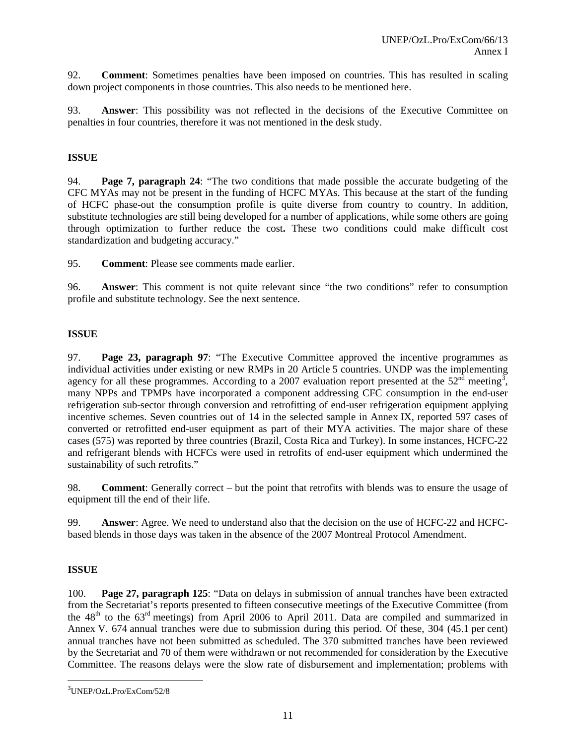92. **Comment**: Sometimes penalties have been imposed on countries. This has resulted in scaling down project components in those countries. This also needs to be mentioned here.

93. **Answer**: This possibility was not reflected in the decisions of the Executive Committee on penalties in four countries, therefore it was not mentioned in the desk study.

# **ISSUE**

94. **Page 7, paragraph 24**: "The two conditions that made possible the accurate budgeting of the CFC MYAs may not be present in the funding of HCFC MYAs. This because at the start of the funding of HCFC phase-out the consumption profile is quite diverse from country to country. In addition, substitute technologies are still being developed for a number of applications, while some others are going through optimization to further reduce the cost**.** These two conditions could make difficult cost standardization and budgeting accuracy."

95. **Comment**: Please see comments made earlier.

96. **Answer**: This comment is not quite relevant since "the two conditions" refer to consumption profile and substitute technology. See the next sentence.

# **ISSUE**

97. **Page 23, paragraph 97**: "The Executive Committee approved the incentive programmes as individual activities under existing or new RMPs in 20 Article 5 countries. UNDP was the implementing agency for all these programmes. According to a 2007 evaluation report presented at the  $52<sup>nd</sup>$  meeting<sup>[3](#page-12-0)</sup>, many NPPs and TPMPs have incorporated a component addressing CFC consumption in the end-user refrigeration sub-sector through conversion and retrofitting of end-user refrigeration equipment applying incentive schemes. Seven countries out of 14 in the selected sample in Annex IX, reported 597 cases of converted or retrofitted end-user equipment as part of their MYA activities. The major share of these cases (575) was reported by three countries (Brazil, Costa Rica and Turkey). In some instances, HCFC-22 and refrigerant blends with HCFCs were used in retrofits of end-user equipment which undermined the sustainability of such retrofits."

98. **Comment**: Generally correct – but the point that retrofits with blends was to ensure the usage of equipment till the end of their life.

99. **Answer**: Agree. We need to understand also that the decision on the use of HCFC-22 and HCFCbased blends in those days was taken in the absence of the 2007 Montreal Protocol Amendment.

#### **ISSUE**

100. **Page 27, paragraph 125**: "Data on delays in submission of annual tranches have been extracted from the Secretariat's reports presented to fifteen consecutive meetings of the Executive Committee (from the  $48<sup>th</sup>$  to the  $63<sup>rd</sup>$  meetings) from April 2006 to April 2011. Data are compiled and summarized in Annex V. 674 annual tranches were due to submission during this period. Of these, 304 (45.1 per cent) annual tranches have not been submitted as scheduled. The 370 submitted tranches have been reviewed by the Secretariat and 70 of them were withdrawn or not recommended for consideration by the Executive Committee. The reasons delays were the slow rate of disbursement and implementation; problems with

<span id="page-12-0"></span> <sup>3</sup> UNEP/OzL.Pro/ExCom/52/8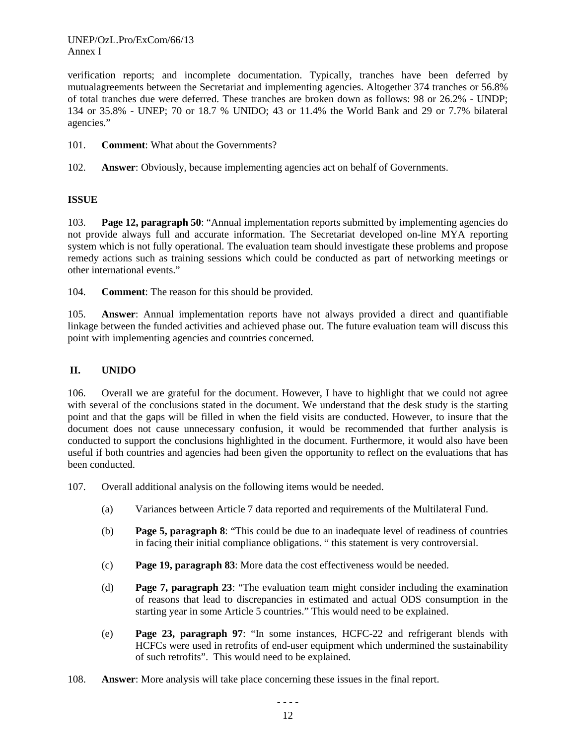verification reports; and incomplete documentation. Typically, tranches have been deferred by mutualagreements between the Secretariat and implementing agencies. Altogether 374 tranches or 56.8% of total tranches due were deferred. These tranches are broken down as follows: 98 or 26.2% - UNDP; 134 or 35.8% - UNEP; 70 or 18.7 % UNIDO; 43 or 11.4% the World Bank and 29 or 7.7% bilateral agencies."

- 101. **Comment**: What about the Governments?
- 102. **Answer**: Obviously, because implementing agencies act on behalf of Governments.

# **ISSUE**

103. **Page 12, paragraph 50**: "Annual implementation reports submitted by implementing agencies do not provide always full and accurate information. The Secretariat developed on-line MYA reporting system which is not fully operational. The evaluation team should investigate these problems and propose remedy actions such as training sessions which could be conducted as part of networking meetings or other international events."

104. **Comment**: The reason for this should be provided.

105. **Answer**: Annual implementation reports have not always provided a direct and quantifiable linkage between the funded activities and achieved phase out. The future evaluation team will discuss this point with implementing agencies and countries concerned.

## **II. UNIDO**

106. Overall we are grateful for the document. However, I have to highlight that we could not agree with several of the conclusions stated in the document. We understand that the desk study is the starting point and that the gaps will be filled in when the field visits are conducted. However, to insure that the document does not cause unnecessary confusion, it would be recommended that further analysis is conducted to support the conclusions highlighted in the document. Furthermore, it would also have been useful if both countries and agencies had been given the opportunity to reflect on the evaluations that has been conducted.

107. Overall additional analysis on the following items would be needed.

- (a) Variances between Article 7 data reported and requirements of the Multilateral Fund.
- (b) **Page 5, paragraph 8**: "This could be due to an inadequate level of readiness of countries in facing their initial compliance obligations. " this statement is very controversial.
- (c) **Page 19, paragraph 83**: More data the cost effectiveness would be needed.
- (d) **Page 7, paragraph 23**: "The evaluation team might consider including the examination of reasons that lead to discrepancies in estimated and actual ODS consumption in the starting year in some Article 5 countries." This would need to be explained.
- (e) **Page 23, paragraph 97**: "In some instances, HCFC-22 and refrigerant blends with HCFCs were used in retrofits of end-user equipment which undermined the sustainability of such retrofits". This would need to be explained.
- 108. **Answer**: More analysis will take place concerning these issues in the final report.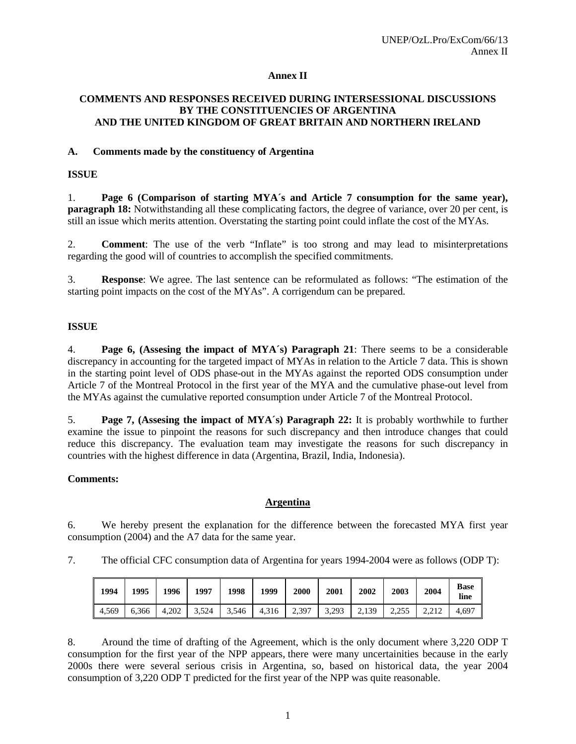### **Annex II**

#### **COMMENTS AND RESPONSES RECEIVED DURING INTERSESSIONAL DISCUSSIONS BY THE CONSTITUENCIES OF ARGENTINA AND THE UNITED KINGDOM OF GREAT BRITAIN AND NORTHERN IRELAND**

### **A. Comments made by the constituency of Argentina**

### **ISSUE**

1. **Page 6 (Comparison of starting MYA´s and Article 7 consumption for the same year), paragraph 18:** Notwithstanding all these complicating factors, the degree of variance, over 20 per cent, is still an issue which merits attention. Overstating the starting point could inflate the cost of the MYAs.

2. **Comment**: The use of the verb "Inflate" is too strong and may lead to misinterpretations regarding the good will of countries to accomplish the specified commitments.

3. **Response**: We agree. The last sentence can be reformulated as follows: "The estimation of the starting point impacts on the cost of the MYAs". A corrigendum can be prepared.

### **ISSUE**

4. **Page 6, (Assesing the impact of MYA´s) Paragraph 21**: There seems to be a considerable discrepancy in accounting for the targeted impact of MYAs in relation to the Article 7 data. This is shown in the starting point level of ODS phase-out in the MYAs against the reported ODS consumption under Article 7 of the Montreal Protocol in the first year of the MYA and the cumulative phase-out level from the MYAs against the cumulative reported consumption under Article 7 of the Montreal Protocol.

5. **Page 7, (Assesing the impact of MYA´s) Paragraph 22:** It is probably worthwhile to further examine the issue to pinpoint the reasons for such discrepancy and then introduce changes that could reduce this discrepancy. The evaluation team may investigate the reasons for such discrepancy in countries with the highest difference in data (Argentina, Brazil, India, Indonesia).

#### **Comments:**

### **Argentina**

6. We hereby present the explanation for the difference between the forecasted MYA first year consumption (2004) and the A7 data for the same year.

7. The official CFC consumption data of Argentina for years 1994-2004 were as follows (ODP T):

| 1994  | 1995  | 1996  | 1997              | 1998  | 1999          | 2000 | 2001  | 2002              | 2003  | 2004  | Base<br>line |
|-------|-------|-------|-------------------|-------|---------------|------|-------|-------------------|-------|-------|--------------|
| 4.569 | 6.366 | 4.202 | $\frac{3.524}{ }$ | 3,546 | $4,316$ 2,397 |      | 3,293 | $\frac{1}{2,139}$ | 2.255 | 2.212 | 4.697        |

8. Around the time of drafting of the Agreement, which is the only document where 3,220 ODP T consumption for the first year of the NPP appears, there were many uncertainities because in the early 2000s there were several serious crisis in Argentina, so, based on historical data, the year 2004 consumption of 3,220 ODP T predicted for the first year of the NPP was quite reasonable.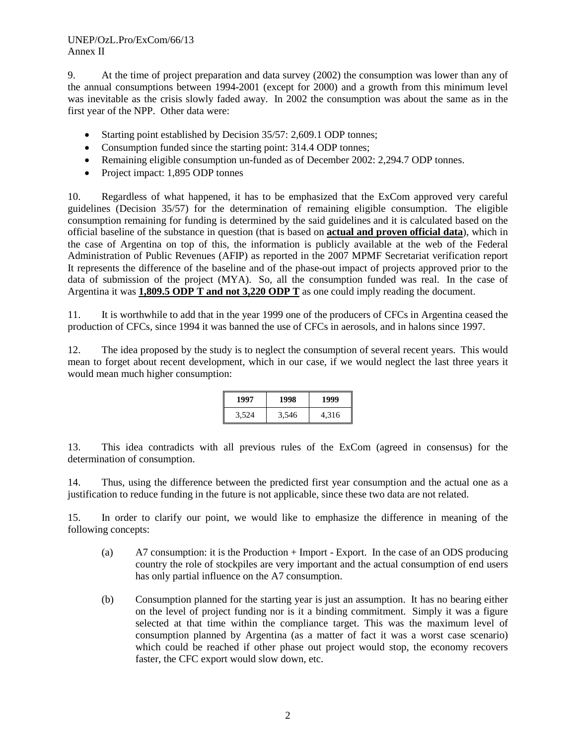### UNEP/OzL.Pro/ExCom/66/13 Annex II

9. At the time of project preparation and data survey (2002) the consumption was lower than any of the annual consumptions between 1994-2001 (except for 2000) and a growth from this minimum level was inevitable as the crisis slowly faded away. In 2002 the consumption was about the same as in the first year of the NPP. Other data were:

- Starting point established by Decision 35/57: 2,609.1 ODP tonnes;
- Consumption funded since the starting point: 314.4 ODP tonnes;
- Remaining eligible consumption un-funded as of December 2002: 2,294.7 ODP tonnes.
- Project impact: 1,895 ODP tonnes

10. Regardless of what happened, it has to be emphasized that the ExCom approved very careful guidelines (Decision 35/57) for the determination of remaining eligible consumption. The eligible consumption remaining for funding is determined by the said guidelines and it is calculated based on the official baseline of the substance in question (that is based on **actual and proven official data**), which in the case of Argentina on top of this, the information is publicly available at the web of the Federal Administration of Public Revenues (AFIP) as reported in the 2007 MPMF Secretariat verification report It represents the difference of the baseline and of the phase-out impact of projects approved prior to the data of submission of the project (MYA). So, all the consumption funded was real. In the case of Argentina it was **1,809.5 ODP T and not 3,220 ODP T** as one could imply reading the document.

11. It is worthwhile to add that in the year 1999 one of the producers of CFCs in Argentina ceased the production of CFCs, since 1994 it was banned the use of CFCs in aerosols, and in halons since 1997.

12. The idea proposed by the study is to neglect the consumption of several recent years. This would mean to forget about recent development, which in our case, if we would neglect the last three years it would mean much higher consumption:

| 1997  | 1998  | 1999  |  |  |  |
|-------|-------|-------|--|--|--|
| 3.524 | 3,546 | 4,316 |  |  |  |

13. This idea contradicts with all previous rules of the ExCom (agreed in consensus) for the determination of consumption.

14. Thus, using the difference between the predicted first year consumption and the actual one as a justification to reduce funding in the future is not applicable, since these two data are not related.

15. In order to clarify our point, we would like to emphasize the difference in meaning of the following concepts:

- (a) A7 consumption: it is the Production + Import Export. In the case of an ODS producing country the role of stockpiles are very important and the actual consumption of end users has only partial influence on the A7 consumption.
- (b) Consumption planned for the starting year is just an assumption. It has no bearing either on the level of project funding nor is it a binding commitment. Simply it was a figure selected at that time within the compliance target. This was the maximum level of consumption planned by Argentina (as a matter of fact it was a worst case scenario) which could be reached if other phase out project would stop, the economy recovers faster, the CFC export would slow down, etc.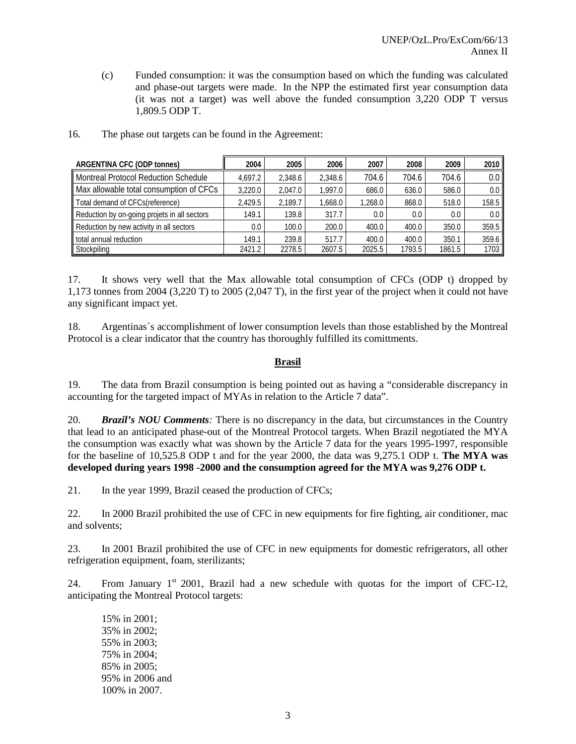(c) Funded consumption: it was the consumption based on which the funding was calculated and phase-out targets were made. In the NPP the estimated first year consumption data (it was not a target) was well above the funded consumption 3,220 ODP T versus 1,809.5 ODP T.

| ARGENTINA CFC (ODP tonnes)                   | 2004    | 2005    | 2006    | 2007    | 2008   | 2009   | 2010             |
|----------------------------------------------|---------|---------|---------|---------|--------|--------|------------------|
| <b>Montreal Protocol Reduction Schedule</b>  | 4.697.2 | 2.348.6 | 2.348.6 | 704.6   | 704.6  | 704.6  | 0.0 <sub>1</sub> |
| Max allowable total consumption of CFCs      | 3.220.0 | 2.047.0 | 1.997.0 | 686.0   | 636.0  | 586.0  | 0.0 <sub>1</sub> |
| Total demand of CFCs(reference)              | 2.429.5 | 2.189.7 | 1.668.0 | 1.268.0 | 868.0  | 518.0  | 158.5            |
| Reduction by on-going projets in all sectors | 149.1   | 139.8   | 317.7   | 0.0     | 0.0    | 0.0    | 0.0 <sub>1</sub> |
| Reduction by new activity in all sectors     | $0.0\,$ | 100.0   | 200.0   | 400.0   | 400.0  | 350.0  | 359.5            |
| total annual reduction                       | 149.1   | 239.8   | 517.7   | 400.0   | 400.0  | 350.1  | 359.6            |
| Stockpiling                                  | 2421.2  | 2278.5  | 2607.5  | 2025.5  | 1793.5 | 1861.5 | 1703             |

16. The phase out targets can be found in the Agreement:

17. It shows very well that the Max allowable total consumption of CFCs (ODP t) dropped by 1,173 tonnes from 2004 (3,220 T) to 2005 (2,047 T), in the first year of the project when it could not have any significant impact yet.

18. Argentinas´s accomplishment of lower consumption levels than those established by the Montreal Protocol is a clear indicator that the country has thoroughly fulfilled its comittments.

### **Brasil**

19. The data from Brazil consumption is being pointed out as having a "considerable discrepancy in accounting for the targeted impact of MYAs in relation to the Article 7 data".

20. *Brazil's NOU Comments:* There is no discrepancy in the data, but circumstances in the Country that lead to an anticipated phase-out of the Montreal Protocol targets. When Brazil negotiated the MYA the consumption was exactly what was shown by the Article 7 data for the years 1995-1997, responsible for the baseline of 10,525.8 ODP t and for the year 2000, the data was 9,275.1 ODP t. **The MYA was developed during years 1998 -2000 and the consumption agreed for the MYA was 9,276 ODP t.** 

21. In the year 1999, Brazil ceased the production of CFCs;

22. In 2000 Brazil prohibited the use of CFC in new equipments for fire fighting, air conditioner, mac and solvents;

23. In 2001 Brazil prohibited the use of CFC in new equipments for domestic refrigerators, all other refrigeration equipment, foam, sterilizants;

24. From January  $1<sup>st</sup>$  2001, Brazil had a new schedule with quotas for the import of CFC-12, anticipating the Montreal Protocol targets:

15% in 2001; 35% in 2002; 55% in 2003; 75% in 2004; 85% in 2005; 95% in 2006 and 100% in 2007.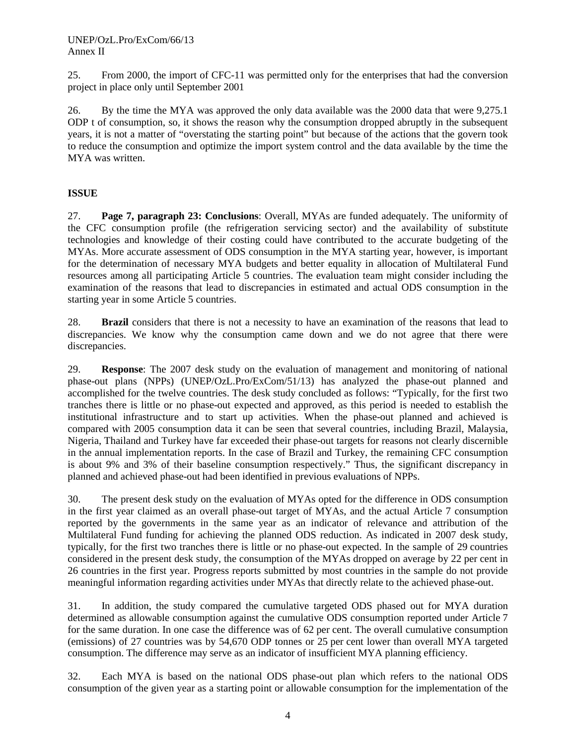25. From 2000, the import of CFC-11 was permitted only for the enterprises that had the conversion project in place only until September 2001

26. By the time the MYA was approved the only data available was the 2000 data that were 9,275.1 ODP t of consumption, so, it shows the reason why the consumption dropped abruptly in the subsequent years, it is not a matter of "overstating the starting point" but because of the actions that the govern took to reduce the consumption and optimize the import system control and the data available by the time the MYA was written.

### **ISSUE**

27. **Page 7, paragraph 23: Conclusions**: Overall, MYAs are funded adequately. The uniformity of the CFC consumption profile (the refrigeration servicing sector) and the availability of substitute technologies and knowledge of their costing could have contributed to the accurate budgeting of the MYAs. More accurate assessment of ODS consumption in the MYA starting year, however, is important for the determination of necessary MYA budgets and better equality in allocation of Multilateral Fund resources among all participating Article 5 countries. The evaluation team might consider including the examination of the reasons that lead to discrepancies in estimated and actual ODS consumption in the starting year in some Article 5 countries.

28. **Brazil** considers that there is not a necessity to have an examination of the reasons that lead to discrepancies. We know why the consumption came down and we do not agree that there were discrepancies.

29. **Response**: The 2007 desk study on the evaluation of management and monitoring of national phase-out plans (NPPs) (UNEP/OzL.Pro/ExCom/51/13) has analyzed the phase-out planned and accomplished for the twelve countries. The desk study concluded as follows: "Typically, for the first two tranches there is little or no phase-out expected and approved, as this period is needed to establish the institutional infrastructure and to start up activities. When the phase-out planned and achieved is compared with 2005 consumption data it can be seen that several countries, including Brazil, Malaysia, Nigeria, Thailand and Turkey have far exceeded their phase-out targets for reasons not clearly discernible in the annual implementation reports. In the case of Brazil and Turkey, the remaining CFC consumption is about 9% and 3% of their baseline consumption respectively." Thus, the significant discrepancy in planned and achieved phase-out had been identified in previous evaluations of NPPs.

30. The present desk study on the evaluation of MYAs opted for the difference in ODS consumption in the first year claimed as an overall phase-out target of MYAs, and the actual Article 7 consumption reported by the governments in the same year as an indicator of relevance and attribution of the Multilateral Fund funding for achieving the planned ODS reduction. As indicated in 2007 desk study, typically, for the first two tranches there is little or no phase-out expected. In the sample of 29 countries considered in the present desk study, the consumption of the MYAs dropped on average by 22 per cent in 26 countries in the first year. Progress reports submitted by most countries in the sample do not provide meaningful information regarding activities under MYAs that directly relate to the achieved phase-out.

31. In addition, the study compared the cumulative targeted ODS phased out for MYA duration determined as allowable consumption against the cumulative ODS consumption reported under Article 7 for the same duration. In one case the difference was of 62 per cent. The overall cumulative consumption (emissions) of 27 countries was by 54,670 ODP tonnes or 25 per cent lower than overall MYA targeted consumption. The difference may serve as an indicator of insufficient MYA planning efficiency.

32. Each MYA is based on the national ODS phase-out plan which refers to the national ODS consumption of the given year as a starting point or allowable consumption for the implementation of the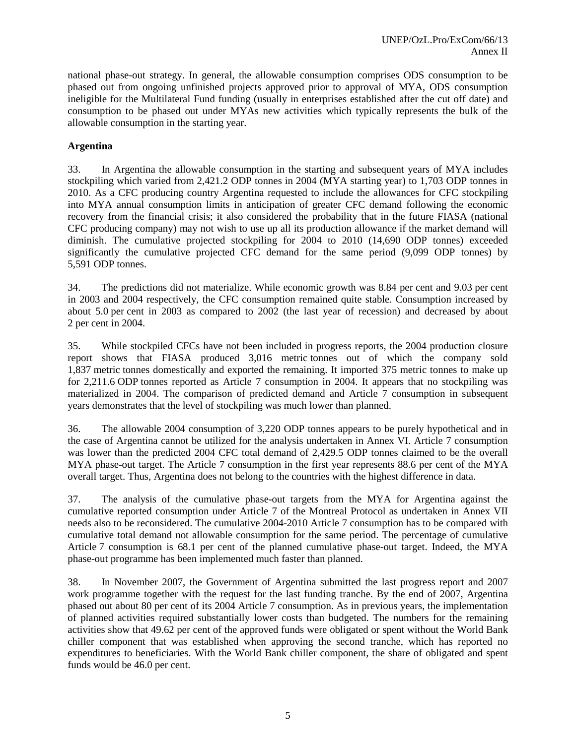national phase-out strategy. In general, the allowable consumption comprises ODS consumption to be phased out from ongoing unfinished projects approved prior to approval of MYA, ODS consumption ineligible for the Multilateral Fund funding (usually in enterprises established after the cut off date) and consumption to be phased out under MYAs new activities which typically represents the bulk of the allowable consumption in the starting year.

### **Argentina**

33. In Argentina the allowable consumption in the starting and subsequent years of MYA includes stockpiling which varied from 2,421.2 ODP tonnes in 2004 (MYA starting year) to 1,703 ODP tonnes in 2010. As a CFC producing country Argentina requested to include the allowances for CFC stockpiling into MYA annual consumption limits in anticipation of greater CFC demand following the economic recovery from the financial crisis; it also considered the probability that in the future FIASA (national CFC producing company) may not wish to use up all its production allowance if the market demand will diminish. The cumulative projected stockpiling for 2004 to 2010 (14,690 ODP tonnes) exceeded significantly the cumulative projected CFC demand for the same period (9,099 ODP tonnes) by 5,591 ODP tonnes.

34. The predictions did not materialize. While economic growth was 8.84 per cent and 9.03 per cent in 2003 and 2004 respectively, the CFC consumption remained quite stable. Consumption increased by about 5.0 per cent in 2003 as compared to 2002 (the last year of recession) and decreased by about 2 per cent in 2004.

35. While stockpiled CFCs have not been included in progress reports, the 2004 production closure report shows that FIASA produced 3,016 metric tonnes out of which the company sold 1,837 metric tonnes domestically and exported the remaining. It imported 375 metric tonnes to make up for 2,211.6 ODP tonnes reported as Article 7 consumption in 2004. It appears that no stockpiling was materialized in 2004. The comparison of predicted demand and Article 7 consumption in subsequent years demonstrates that the level of stockpiling was much lower than planned.

36. The allowable 2004 consumption of 3,220 ODP tonnes appears to be purely hypothetical and in the case of Argentina cannot be utilized for the analysis undertaken in Annex VI. Article 7 consumption was lower than the predicted 2004 CFC total demand of 2,429.5 ODP tonnes claimed to be the overall MYA phase-out target. The Article 7 consumption in the first year represents 88.6 per cent of the MYA overall target. Thus, Argentina does not belong to the countries with the highest difference in data.

37. The analysis of the cumulative phase-out targets from the MYA for Argentina against the cumulative reported consumption under Article 7 of the Montreal Protocol as undertaken in Annex VII needs also to be reconsidered. The cumulative 2004-2010 Article 7 consumption has to be compared with cumulative total demand not allowable consumption for the same period. The percentage of cumulative Article 7 consumption is 68.1 per cent of the planned cumulative phase-out target. Indeed, the MYA phase-out programme has been implemented much faster than planned.

38. In November 2007, the Government of Argentina submitted the last progress report and 2007 work programme together with the request for the last funding tranche. By the end of 2007, Argentina phased out about 80 per cent of its 2004 Article 7 consumption. As in previous years, the implementation of planned activities required substantially lower costs than budgeted. The numbers for the remaining activities show that 49.62 per cent of the approved funds were obligated or spent without the World Bank chiller component that was established when approving the second tranche, which has reported no expenditures to beneficiaries. With the World Bank chiller component, the share of obligated and spent funds would be 46.0 per cent.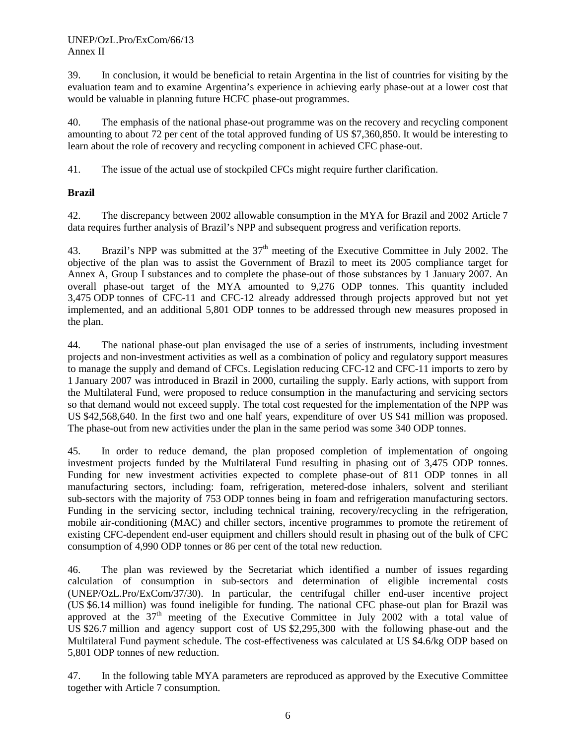39. In conclusion, it would be beneficial to retain Argentina in the list of countries for visiting by the evaluation team and to examine Argentina's experience in achieving early phase-out at a lower cost that would be valuable in planning future HCFC phase-out programmes.

40. The emphasis of the national phase-out programme was on the recovery and recycling component amounting to about 72 per cent of the total approved funding of US \$7,360,850. It would be interesting to learn about the role of recovery and recycling component in achieved CFC phase-out.

41. The issue of the actual use of stockpiled CFCs might require further clarification.

# **Brazil**

42. The discrepancy between 2002 allowable consumption in the MYA for Brazil and 2002 Article 7 data requires further analysis of Brazil's NPP and subsequent progress and verification reports.

43. Brazil's NPP was submitted at the  $37<sup>th</sup>$  meeting of the Executive Committee in July 2002. The objective of the plan was to assist the Government of Brazil to meet its 2005 compliance target for Annex A, Group I substances and to complete the phase-out of those substances by 1 January 2007. An overall phase-out target of the MYA amounted to 9,276 ODP tonnes. This quantity included 3,475 ODP tonnes of CFC-11 and CFC-12 already addressed through projects approved but not yet implemented, and an additional 5,801 ODP tonnes to be addressed through new measures proposed in the plan.

44. The national phase-out plan envisaged the use of a series of instruments, including investment projects and non-investment activities as well as a combination of policy and regulatory support measures to manage the supply and demand of CFCs. Legislation reducing CFC-12 and CFC-11 imports to zero by 1 January 2007 was introduced in Brazil in 2000, curtailing the supply. Early actions, with support from the Multilateral Fund, were proposed to reduce consumption in the manufacturing and servicing sectors so that demand would not exceed supply. The total cost requested for the implementation of the NPP was US \$42,568,640. In the first two and one half years, expenditure of over US \$41 million was proposed. The phase-out from new activities under the plan in the same period was some 340 ODP tonnes.

45. In order to reduce demand, the plan proposed completion of implementation of ongoing investment projects funded by the Multilateral Fund resulting in phasing out of 3,475 ODP tonnes. Funding for new investment activities expected to complete phase-out of 811 ODP tonnes in all manufacturing sectors, including: foam, refrigeration, metered-dose inhalers, solvent and steriliant sub-sectors with the majority of 753 ODP tonnes being in foam and refrigeration manufacturing sectors. Funding in the servicing sector, including technical training, recovery/recycling in the refrigeration, mobile air-conditioning (MAC) and chiller sectors, incentive programmes to promote the retirement of existing CFC-dependent end-user equipment and chillers should result in phasing out of the bulk of CFC consumption of 4,990 ODP tonnes or 86 per cent of the total new reduction.

46. The plan was reviewed by the Secretariat which identified a number of issues regarding calculation of consumption in sub-sectors and determination of eligible incremental costs (UNEP/OzL.Pro/ExCom/37/30). In particular, the centrifugal chiller end-user incentive project (US \$6.14 million) was found ineligible for funding. The national CFC phase-out plan for Brazil was approved at the  $37<sup>th</sup>$  meeting of the Executive Committee in July 2002 with a total value of US \$26.7 million and agency support cost of US \$2,295,300 with the following phase-out and the Multilateral Fund payment schedule. The cost-effectiveness was calculated at US \$4.6/kg ODP based on 5,801 ODP tonnes of new reduction.

47. In the following table MYA parameters are reproduced as approved by the Executive Committee together with Article 7 consumption.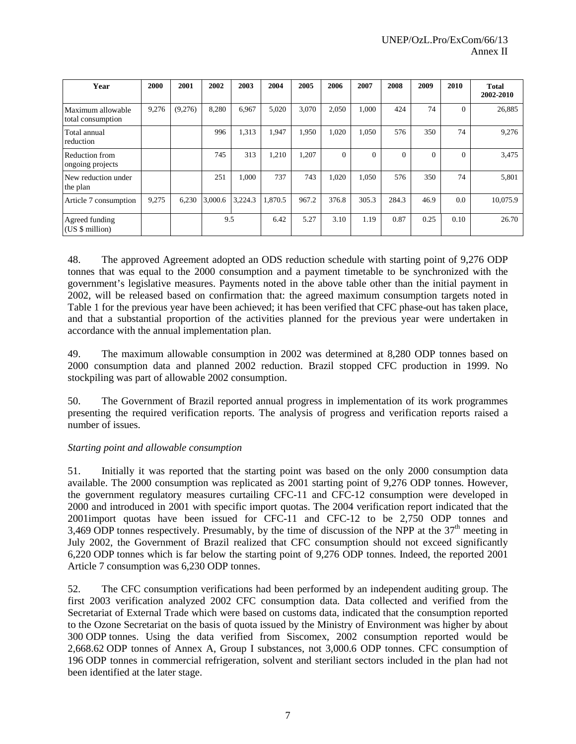| Year                                   | 2000  | 2001    | 2002    | 2003    | 2004    | 2005  | 2006     | 2007     | 2008     | 2009     | 2010     | <b>Total</b><br>2002-2010 |
|----------------------------------------|-------|---------|---------|---------|---------|-------|----------|----------|----------|----------|----------|---------------------------|
| Maximum allowable<br>total consumption | 9,276 | (9,276) | 8,280   | 6,967   | 5,020   | 3,070 | 2,050    | 1.000    | 424      | 74       | $\Omega$ | 26,885                    |
| Total annual<br>reduction              |       |         | 996     | 1,313   | 1,947   | 1,950 | 1,020    | 1,050    | 576      | 350      | 74       | 9,276                     |
| Reduction from<br>ongoing projects     |       |         | 745     | 313     | 1,210   | 1,207 | $\Omega$ | $\Omega$ | $\Omega$ | $\Omega$ | $\Omega$ | 3,475                     |
| New reduction under<br>the plan        |       |         | 251     | 1,000   | 737     | 743   | 1,020    | 1.050    | 576      | 350      | 74       | 5,801                     |
| Article 7 consumption                  | 9,275 | 6,230   | 3,000.6 | 3,224.3 | 1.870.5 | 967.2 | 376.8    | 305.3    | 284.3    | 46.9     | 0.0      | 10,075.9                  |
| Agreed funding<br>(US \$ million)      |       |         | 9.5     |         | 6.42    | 5.27  | 3.10     | 1.19     | 0.87     | 0.25     | 0.10     | 26.70                     |

48. The approved Agreement adopted an ODS reduction schedule with starting point of 9,276 ODP tonnes that was equal to the 2000 consumption and a payment timetable to be synchronized with the government's legislative measures. Payments noted in the above table other than the initial payment in 2002, will be released based on confirmation that: the agreed maximum consumption targets noted in Table 1 for the previous year have been achieved; it has been verified that CFC phase-out has taken place, and that a substantial proportion of the activities planned for the previous year were undertaken in accordance with the annual implementation plan.

49. The maximum allowable consumption in 2002 was determined at 8,280 ODP tonnes based on 2000 consumption data and planned 2002 reduction. Brazil stopped CFC production in 1999. No stockpiling was part of allowable 2002 consumption.

50. The Government of Brazil reported annual progress in implementation of its work programmes presenting the required verification reports. The analysis of progress and verification reports raised a number of issues.

# *Starting point and allowable consumption*

51. Initially it was reported that the starting point was based on the only 2000 consumption data available. The 2000 consumption was replicated as 2001 starting point of 9,276 ODP tonnes. However, the government regulatory measures curtailing CFC-11 and CFC-12 consumption were developed in 2000 and introduced in 2001 with specific import quotas. The 2004 verification report indicated that the 2001import quotas have been issued for CFC-11 and CFC-12 to be 2,750 ODP tonnes and 3,469 ODP tonnes respectively. Presumably, by the time of discussion of the NPP at the  $37<sup>th</sup>$  meeting in July 2002, the Government of Brazil realized that CFC consumption should not exceed significantly 6,220 ODP tonnes which is far below the starting point of 9,276 ODP tonnes. Indeed, the reported 2001 Article 7 consumption was 6,230 ODP tonnes.

52. The CFC consumption verifications had been performed by an independent auditing group. The first 2003 verification analyzed 2002 CFC consumption data. Data collected and verified from the Secretariat of External Trade which were based on customs data, indicated that the consumption reported to the Ozone Secretariat on the basis of quota issued by the Ministry of Environment was higher by about 300 ODP tonnes. Using the data verified from Siscomex, 2002 consumption reported would be 2,668.62 ODP tonnes of Annex A, Group I substances, not 3,000.6 ODP tonnes. CFC consumption of 196 ODP tonnes in commercial refrigeration, solvent and steriliant sectors included in the plan had not been identified at the later stage.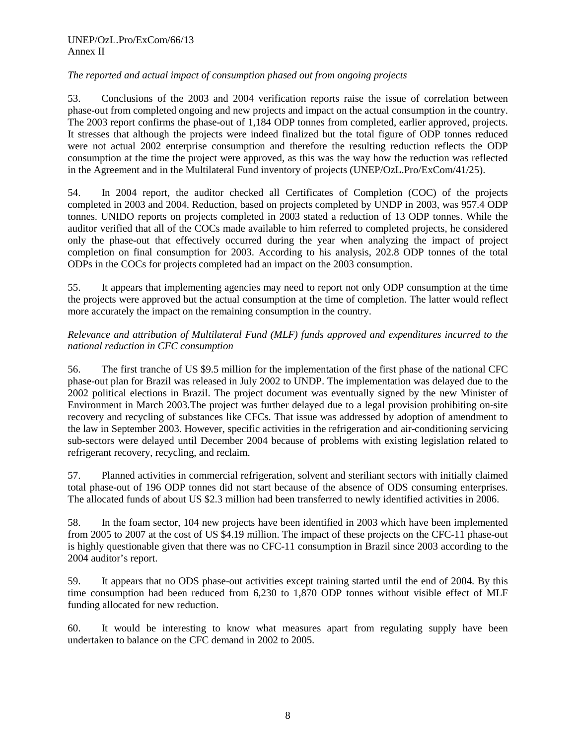## *The reported and actual impact of consumption phased out from ongoing projects*

53. Conclusions of the 2003 and 2004 verification reports raise the issue of correlation between phase-out from completed ongoing and new projects and impact on the actual consumption in the country. The 2003 report confirms the phase-out of 1,184 ODP tonnes from completed, earlier approved, projects. It stresses that although the projects were indeed finalized but the total figure of ODP tonnes reduced were not actual 2002 enterprise consumption and therefore the resulting reduction reflects the ODP consumption at the time the project were approved, as this was the way how the reduction was reflected in the Agreement and in the Multilateral Fund inventory of projects (UNEP/OzL.Pro/ExCom/41/25).

54. In 2004 report, the auditor checked all Certificates of Completion (COC) of the projects completed in 2003 and 2004. Reduction, based on projects completed by UNDP in 2003, was 957.4 ODP tonnes. UNIDO reports on projects completed in 2003 stated a reduction of 13 ODP tonnes. While the auditor verified that all of the COCs made available to him referred to completed projects, he considered only the phase-out that effectively occurred during the year when analyzing the impact of project completion on final consumption for 2003. According to his analysis, 202.8 ODP tonnes of the total ODPs in the COCs for projects completed had an impact on the 2003 consumption.

55. It appears that implementing agencies may need to report not only ODP consumption at the time the projects were approved but the actual consumption at the time of completion. The latter would reflect more accurately the impact on the remaining consumption in the country.

### *Relevance and attribution of Multilateral Fund (MLF) funds approved and expenditures incurred to the national reduction in CFC consumption*

56. The first tranche of US \$9.5 million for the implementation of the first phase of the national CFC phase-out plan for Brazil was released in July 2002 to UNDP. The implementation was delayed due to the 2002 political elections in Brazil. The project document was eventually signed by the new Minister of Environment in March 2003.The project was further delayed due to a legal provision prohibiting on-site recovery and recycling of substances like CFCs. That issue was addressed by adoption of amendment to the law in September 2003. However, specific activities in the refrigeration and air-conditioning servicing sub-sectors were delayed until December 2004 because of problems with existing legislation related to refrigerant recovery, recycling, and reclaim.

57. Planned activities in commercial refrigeration, solvent and steriliant sectors with initially claimed total phase-out of 196 ODP tonnes did not start because of the absence of ODS consuming enterprises. The allocated funds of about US \$2.3 million had been transferred to newly identified activities in 2006.

58. In the foam sector, 104 new projects have been identified in 2003 which have been implemented from 2005 to 2007 at the cost of US \$4.19 million. The impact of these projects on the CFC-11 phase-out is highly questionable given that there was no CFC-11 consumption in Brazil since 2003 according to the 2004 auditor's report.

59. It appears that no ODS phase-out activities except training started until the end of 2004. By this time consumption had been reduced from 6,230 to 1,870 ODP tonnes without visible effect of MLF funding allocated for new reduction.

60. It would be interesting to know what measures apart from regulating supply have been undertaken to balance on the CFC demand in 2002 to 2005.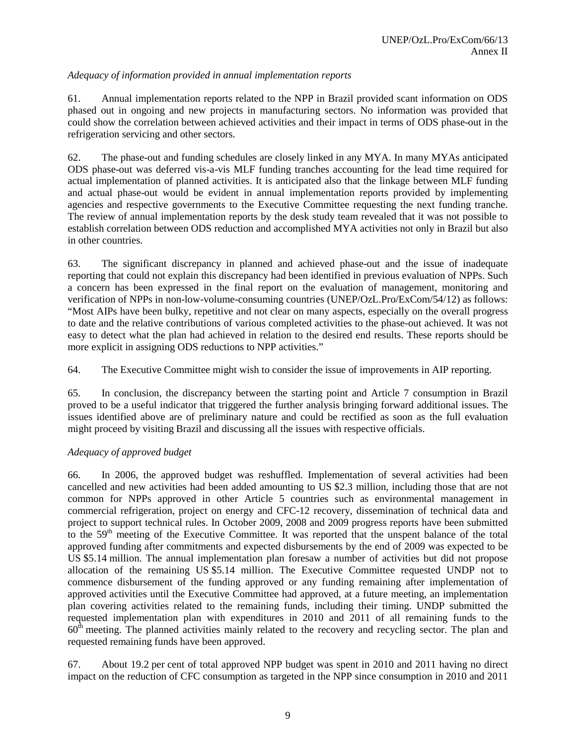# *Adequacy of information provided in annual implementation reports*

61. Annual implementation reports related to the NPP in Brazil provided scant information on ODS phased out in ongoing and new projects in manufacturing sectors. No information was provided that could show the correlation between achieved activities and their impact in terms of ODS phase-out in the refrigeration servicing and other sectors.

62. The phase-out and funding schedules are closely linked in any MYA. In many MYAs anticipated ODS phase-out was deferred vis-a-vis MLF funding tranches accounting for the lead time required for actual implementation of planned activities. It is anticipated also that the linkage between MLF funding and actual phase-out would be evident in annual implementation reports provided by implementing agencies and respective governments to the Executive Committee requesting the next funding tranche. The review of annual implementation reports by the desk study team revealed that it was not possible to establish correlation between ODS reduction and accomplished MYA activities not only in Brazil but also in other countries.

63. The significant discrepancy in planned and achieved phase-out and the issue of inadequate reporting that could not explain this discrepancy had been identified in previous evaluation of NPPs. Such a concern has been expressed in the final report on the evaluation of management, monitoring and verification of NPPs in non-low-volume-consuming countries (UNEP/OzL.Pro/ExCom/54/12) as follows: "Most AIPs have been bulky, repetitive and not clear on many aspects, especially on the overall progress to date and the relative contributions of various completed activities to the phase-out achieved. It was not easy to detect what the plan had achieved in relation to the desired end results. These reports should be more explicit in assigning ODS reductions to NPP activities."

64. The Executive Committee might wish to consider the issue of improvements in AIP reporting.

65. In conclusion, the discrepancy between the starting point and Article 7 consumption in Brazil proved to be a useful indicator that triggered the further analysis bringing forward additional issues. The issues identified above are of preliminary nature and could be rectified as soon as the full evaluation might proceed by visiting Brazil and discussing all the issues with respective officials.

#### *Adequacy of approved budget*

66. In 2006, the approved budget was reshuffled. Implementation of several activities had been cancelled and new activities had been added amounting to US \$2.3 million, including those that are not common for NPPs approved in other Article 5 countries such as environmental management in commercial refrigeration, project on energy and CFC-12 recovery, dissemination of technical data and project to support technical rules. In October 2009, 2008 and 2009 progress reports have been submitted to the 59<sup>th</sup> meeting of the Executive Committee. It was reported that the unspent balance of the total approved funding after commitments and expected disbursements by the end of 2009 was expected to be US \$5.14 million. The annual implementation plan foresaw a number of activities but did not propose allocation of the remaining US \$5.14 million. The Executive Committee requested UNDP not to commence disbursement of the funding approved or any funding remaining after implementation of approved activities until the Executive Committee had approved, at a future meeting, an implementation plan covering activities related to the remaining funds, including their timing. UNDP submitted the requested implementation plan with expenditures in 2010 and 2011 of all remaining funds to the 60<sup>th</sup> meeting. The planned activities mainly related to the recovery and recycling sector. The plan and requested remaining funds have been approved.

67. About 19.2 per cent of total approved NPP budget was spent in 2010 and 2011 having no direct impact on the reduction of CFC consumption as targeted in the NPP since consumption in 2010 and 2011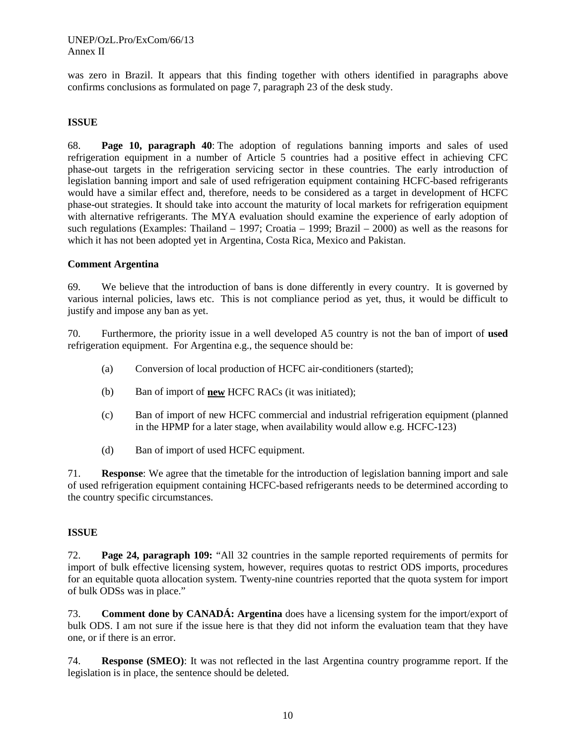was zero in Brazil. It appears that this finding together with others identified in paragraphs above confirms conclusions as formulated on page 7, paragraph 23 of the desk study.

#### **ISSUE**

68. **Page 10, paragraph 40**: The adoption of regulations banning imports and sales of used refrigeration equipment in a number of Article 5 countries had a positive effect in achieving CFC phase-out targets in the refrigeration servicing sector in these countries. The early introduction of legislation banning import and sale of used refrigeration equipment containing HCFC-based refrigerants would have a similar effect and, therefore, needs to be considered as a target in development of HCFC phase-out strategies. It should take into account the maturity of local markets for refrigeration equipment with alternative refrigerants. The MYA evaluation should examine the experience of early adoption of such regulations (Examples: Thailand – 1997; Croatia – 1999; Brazil – 2000) as well as the reasons for which it has not been adopted yet in Argentina, Costa Rica, Mexico and Pakistan.

#### **Comment Argentina**

69. We believe that the introduction of bans is done differently in every country. It is governed by various internal policies, laws etc. This is not compliance period as yet, thus, it would be difficult to justify and impose any ban as yet.

70. Furthermore, the priority issue in a well developed A5 country is not the ban of import of **used**  refrigeration equipment. For Argentina e.g., the sequence should be:

- (a) Conversion of local production of HCFC air-conditioners (started);
- (b) Ban of import of **new** HCFC RACs (it was initiated);
- (c) Ban of import of new HCFC commercial and industrial refrigeration equipment (planned in the HPMP for a later stage, when availability would allow e.g. HCFC-123)
- (d) Ban of import of used HCFC equipment.

71. **Response**: We agree that the timetable for the introduction of legislation banning import and sale of used refrigeration equipment containing HCFC-based refrigerants needs to be determined according to the country specific circumstances.

#### **ISSUE**

72. **Page 24, paragraph 109:** "All 32 countries in the sample reported requirements of permits for import of bulk effective licensing system, however, requires quotas to restrict ODS imports, procedures for an equitable quota allocation system. Twenty-nine countries reported that the quota system for import of bulk ODSs was in place."

73. **Comment done by CANADÁ: Argentina** does have a licensing system for the import/export of bulk ODS. I am not sure if the issue here is that they did not inform the evaluation team that they have one, or if there is an error.

74. **Response (SMEO)**: It was not reflected in the last Argentina country programme report. If the legislation is in place, the sentence should be deleted.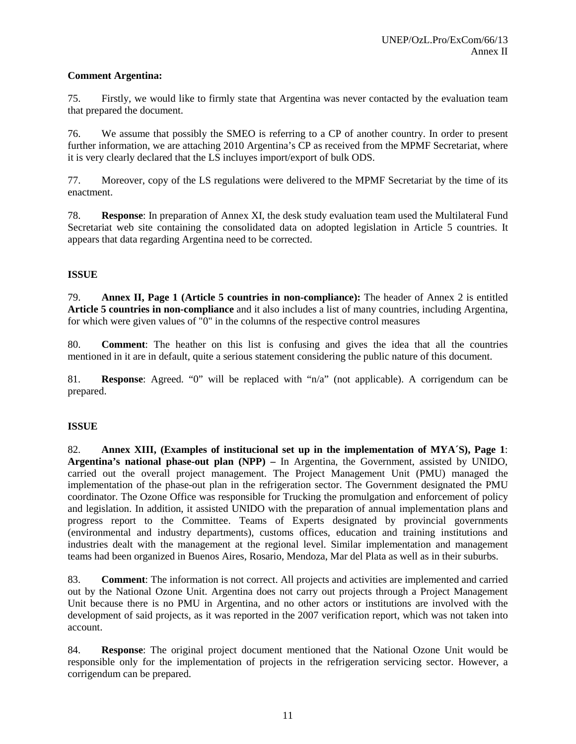## **Comment Argentina:**

75. Firstly, we would like to firmly state that Argentina was never contacted by the evaluation team that prepared the document.

76. We assume that possibly the SMEO is referring to a CP of another country. In order to present further information, we are attaching 2010 Argentina's CP as received from the MPMF Secretariat, where it is very clearly declared that the LS incluyes import/export of bulk ODS.

77. Moreover, copy of the LS regulations were delivered to the MPMF Secretariat by the time of its enactment.

78. **Response**: In preparation of Annex XI, the desk study evaluation team used the Multilateral Fund Secretariat web site containing the consolidated data on adopted legislation in Article 5 countries. It appears that data regarding Argentina need to be corrected.

### **ISSUE**

79. **Annex II, Page 1 (Article 5 countries in non-compliance):** The header of Annex 2 is entitled **Article 5 countries in non-compliance** and it also includes a list of many countries, including Argentina, for which were given values of "0" in the columns of the respective control measures

80. **Comment**: The heather on this list is confusing and gives the idea that all the countries mentioned in it are in default, quite a serious statement considering the public nature of this document.

81. **Response**: Agreed. "0" will be replaced with "n/a" (not applicable). A corrigendum can be prepared.

# **ISSUE**

82. **Annex XIII, (Examples of institucional set up in the implementation of MYA´S), Page 1**: **Argentina's national phase-out plan (NPP) –** In Argentina, the Government, assisted by UNIDO, carried out the overall project management. The Project Management Unit (PMU) managed the implementation of the phase-out plan in the refrigeration sector. The Government designated the PMU coordinator. The Ozone Office was responsible for Trucking the promulgation and enforcement of policy and legislation. In addition, it assisted UNIDO with the preparation of annual implementation plans and progress report to the Committee. Teams of Experts designated by provincial governments (environmental and industry departments), customs offices, education and training institutions and industries dealt with the management at the regional level. Similar implementation and management teams had been organized in Buenos Aires, Rosario, Mendoza, Mar del Plata as well as in their suburbs.

83. **Comment**: The information is not correct. All projects and activities are implemented and carried out by the National Ozone Unit. Argentina does not carry out projects through a Project Management Unit because there is no PMU in Argentina, and no other actors or institutions are involved with the development of said projects, as it was reported in the 2007 verification report, which was not taken into account.

84. **Response**: The original project document mentioned that the National Ozone Unit would be responsible only for the implementation of projects in the refrigeration servicing sector. However, a corrigendum can be prepared.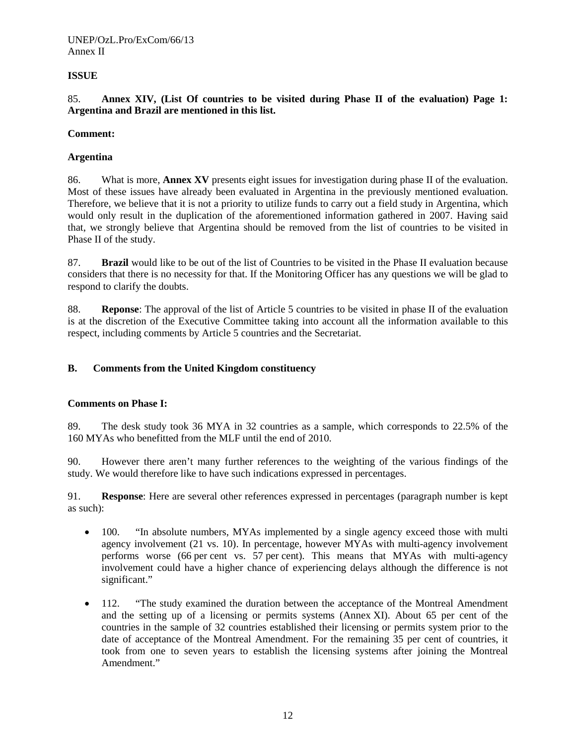#### UNEP/OzL.Pro/ExCom/66/13 Annex II

# **ISSUE**

85. **Annex XIV, (List Of countries to be visited during Phase II of the evaluation) Page 1: Argentina and Brazil are mentioned in this list.**

#### **Comment:**

### **Argentina**

86. What is more, **Annex XV** presents eight issues for investigation during phase II of the evaluation. Most of these issues have already been evaluated in Argentina in the previously mentioned evaluation. Therefore, we believe that it is not a priority to utilize funds to carry out a field study in Argentina, which would only result in the duplication of the aforementioned information gathered in 2007. Having said that, we strongly believe that Argentina should be removed from the list of countries to be visited in Phase II of the study.

87. **Brazil** would like to be out of the list of Countries to be visited in the Phase II evaluation because considers that there is no necessity for that. If the Monitoring Officer has any questions we will be glad to respond to clarify the doubts.

88. **Reponse**: The approval of the list of Article 5 countries to be visited in phase II of the evaluation is at the discretion of the Executive Committee taking into account all the information available to this respect, including comments by Article 5 countries and the Secretariat.

### **B. Comments from the United Kingdom constituency**

#### **Comments on Phase I:**

89. The desk study took 36 MYA in 32 countries as a sample, which corresponds to 22.5% of the 160 MYAs who benefitted from the MLF until the end of 2010.

90. However there aren't many further references to the weighting of the various findings of the study. We would therefore like to have such indications expressed in percentages.

91. **Response**: Here are several other references expressed in percentages (paragraph number is kept as such):

- 100. "In absolute numbers, MYAs implemented by a single agency exceed those with multi agency involvement (21 vs. 10). In percentage, however MYAs with multi-agency involvement performs worse (66 per cent vs. 57 per cent). This means that MYAs with multi-agency involvement could have a higher chance of experiencing delays although the difference is not significant."
- 112. "The study examined the duration between the acceptance of the Montreal Amendment and the setting up of a licensing or permits systems (Annex XI). About 65 per cent of the countries in the sample of 32 countries established their licensing or permits system prior to the date of acceptance of the Montreal Amendment. For the remaining 35 per cent of countries, it took from one to seven years to establish the licensing systems after joining the Montreal Amendment."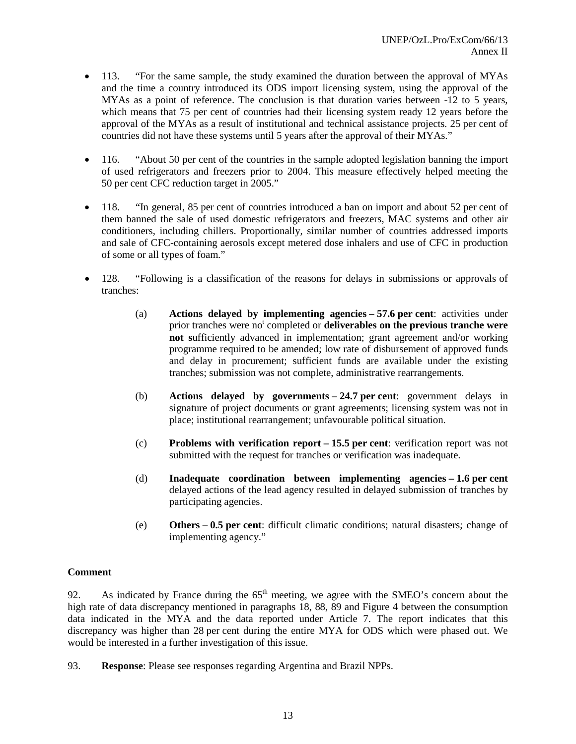- 113. "For the same sample, the study examined the duration between the approval of MYAs and the time a country introduced its ODS import licensing system, using the approval of the MYAs as a point of reference. The conclusion is that duration varies between -12 to 5 years, which means that 75 per cent of countries had their licensing system ready 12 years before the approval of the MYAs as a result of institutional and technical assistance projects. 25 per cent of countries did not have these systems until 5 years after the approval of their MYAs."
- 116. "About 50 per cent of the countries in the sample adopted legislation banning the import of used refrigerators and freezers prior to 2004. This measure effectively helped meeting the 50 per cent CFC reduction target in 2005."
- 118. "In general, 85 per cent of countries introduced a ban on import and about 52 per cent of them banned the sale of used domestic refrigerators and freezers, MAC systems and other air conditioners, including chillers. Proportionally, similar number of countries addressed imports and sale of CFC-containing aerosols except metered dose inhalers and use of CFC in production of some or all types of foam."
- 128. "Following is a classification of the reasons for delays in submissions or approvals of tranches:
	- (a) **Actions delayed by implementing agencies – 57.6 per cent**: activities under prior tranches were no<sup>t</sup> completed or **deliverables on the previous tranche were not s**ufficiently advanced in implementation; grant agreement and/or working programme required to be amended; low rate of disbursement of approved funds and delay in procurement; sufficient funds are available under the existing tranches; submission was not complete, administrative rearrangements.
	- (b) **Actions delayed by governments – 24.7 per cent**: government delays in signature of project documents or grant agreements; licensing system was not in place; institutional rearrangement; unfavourable political situation.
	- (c) **Problems with verification report – 15.5 per cent**: verification report was not submitted with the request for tranches or verification was inadequate.
	- (d) **Inadequate coordination between implementing agencies – 1.6 per cent** delayed actions of the lead agency resulted in delayed submission of tranches by participating agencies.
	- (e) **Others – 0.5 per cent**: difficult climatic conditions; natural disasters; change of implementing agency."

#### **Comment**

92. As indicated by France during the  $65<sup>th</sup>$  meeting, we agree with the SMEO's concern about the high rate of data discrepancy mentioned in paragraphs 18, 88, 89 and Figure 4 between the consumption data indicated in the MYA and the data reported under Article 7. The report indicates that this discrepancy was higher than 28 per cent during the entire MYA for ODS which were phased out. We would be interested in a further investigation of this issue.

93. **Response**: Please see responses regarding Argentina and Brazil NPPs.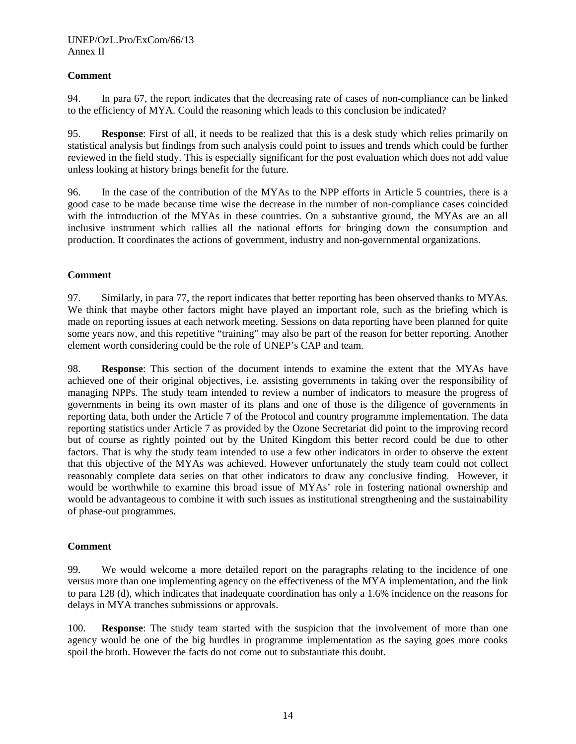# **Comment**

94. In para 67, the report indicates that the decreasing rate of cases of non-compliance can be linked to the efficiency of MYA. Could the reasoning which leads to this conclusion be indicated?

95. **Response**: First of all, it needs to be realized that this is a desk study which relies primarily on statistical analysis but findings from such analysis could point to issues and trends which could be further reviewed in the field study. This is especially significant for the post evaluation which does not add value unless looking at history brings benefit for the future.

96. In the case of the contribution of the MYAs to the NPP efforts in Article 5 countries, there is a good case to be made because time wise the decrease in the number of non-compliance cases coincided with the introduction of the MYAs in these countries. On a substantive ground, the MYAs are an all inclusive instrument which rallies all the national efforts for bringing down the consumption and production. It coordinates the actions of government, industry and non-governmental organizations.

#### **Comment**

97. Similarly, in para 77, the report indicates that better reporting has been observed thanks to MYAs. We think that maybe other factors might have played an important role, such as the briefing which is made on reporting issues at each network meeting. Sessions on data reporting have been planned for quite some years now, and this repetitive "training" may also be part of the reason for better reporting. Another element worth considering could be the role of UNEP's CAP and team.

98. **Response**: This section of the document intends to examine the extent that the MYAs have achieved one of their original objectives, i.e. assisting governments in taking over the responsibility of managing NPPs. The study team intended to review a number of indicators to measure the progress of governments in being its own master of its plans and one of those is the diligence of governments in reporting data, both under the Article 7 of the Protocol and country programme implementation. The data reporting statistics under Article 7 as provided by the Ozone Secretariat did point to the improving record but of course as rightly pointed out by the United Kingdom this better record could be due to other factors. That is why the study team intended to use a few other indicators in order to observe the extent that this objective of the MYAs was achieved. However unfortunately the study team could not collect reasonably complete data series on that other indicators to draw any conclusive finding. However, it would be worthwhile to examine this broad issue of MYAs' role in fostering national ownership and would be advantageous to combine it with such issues as institutional strengthening and the sustainability of phase-out programmes.

#### **Comment**

99. We would welcome a more detailed report on the paragraphs relating to the incidence of one versus more than one implementing agency on the effectiveness of the MYA implementation, and the link to para 128 (d), which indicates that inadequate coordination has only a 1.6% incidence on the reasons for delays in MYA tranches submissions or approvals.

100. **Response**: The study team started with the suspicion that the involvement of more than one agency would be one of the big hurdles in programme implementation as the saying goes more cooks spoil the broth. However the facts do not come out to substantiate this doubt.